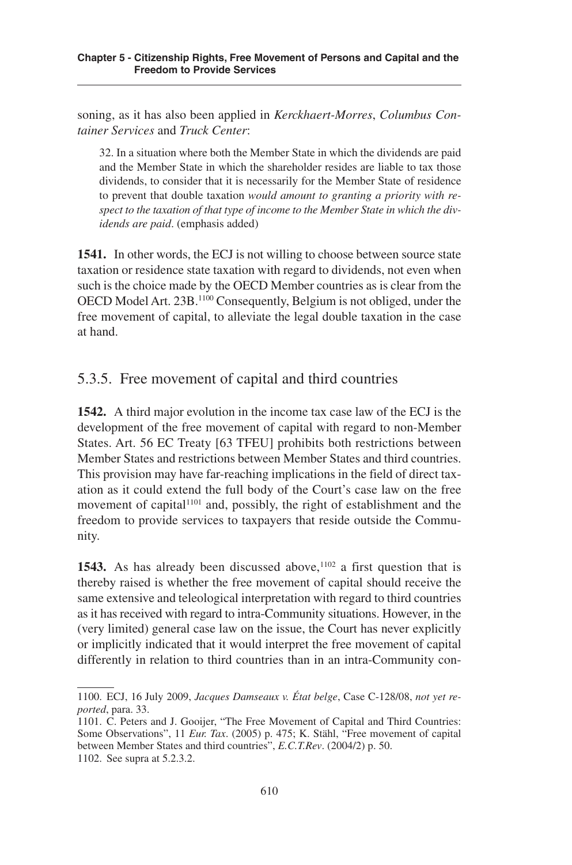soning, as it has also been applied in *Kerckhaert-Morres*, *Columbus Container Services* and *Truck Center*:

32. In a situation where both the Member State in which the dividends are paid and the Member State in which the shareholder resides are liable to tax those dividends, to consider that it is necessarily for the Member State of residence to prevent that double taxation *would amount to granting a priority with respect to the taxation of that type of income to the Member State in which the dividends are paid*. (emphasis added)

**1541.** In other words, the ECJ is not willing to choose between source state taxation or residence state taxation with regard to dividends, not even when such is the choice made by the OECD Member countries as is clear from the OECD Model Art. 23B. <sup>1100</sup> Consequently, Belgium is not obliged, under the free movement of capital, to alleviate the legal double taxation in the case at hand.

# .3.. Free movement of capital and third countries

**1542.** A third major evolution in the income tax case law of the ECJ is the development of the free movement of capital with regard to non-Member States. Art. 56 EC Treaty [63 TFEU] prohibits both restrictions between Member States and restrictions between Member States and third countries. This provision may have far-reaching implications in the field of direct taxation as it could extend the full body of the Court's case law on the free movement of capital<sup>1101</sup> and, possibly, the right of establishment and the freedom to provide services to taxpayers that reside outside the Community.

**1543.** As has already been discussed above,  $102$  a first question that is thereby raised is whether the free movement of capital should receive the same extensive and teleological interpretation with regard to third countries as it has received with regard to intra-Community situations. However, in the (very limited) general case law on the issue, the Court has never explicitly or implicitly indicated that it would interpret the free movement of capital differently in relation to third countries than in an intra-Community con-

<sup>1100.</sup> ECJ, 16 July 2009, *Jacques Damseaux v. État belge*, Case C-128/08, *not yet reported*, para. 33.

<sup>1101.</sup> C. Peters and J. Gooijer, "The Free Movement of Capital and Third Countries: Some Observations", 11 *Eur. Tax.* (2005) p. 475; K. Stähl, "Free movement of capital between Member States and third countries", *E.C.T.Rev.* (2004/2) p. 50. 1102. See supra at 5.2.3.2.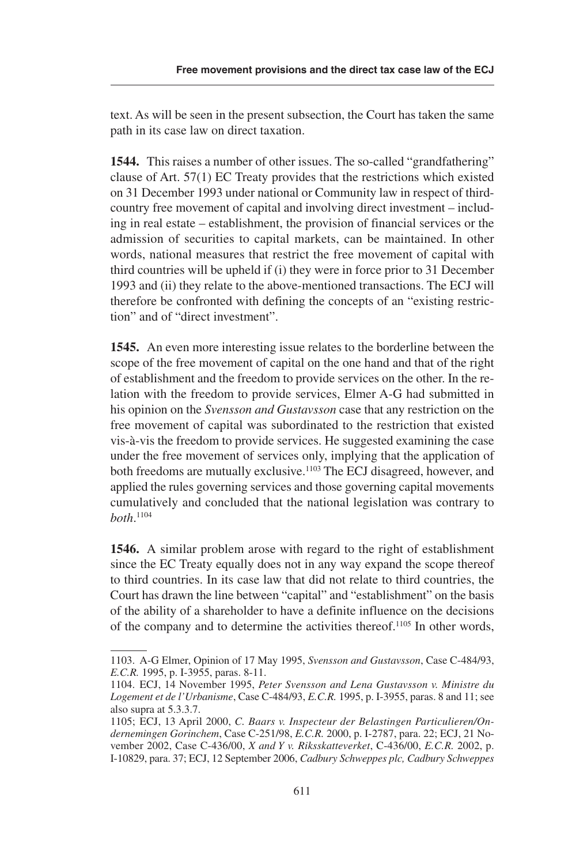text. As will be seen in the present subsection, the Court has taken the same path in its case law on direct taxation.

**1544.** This raises a number of other issues. The so-called "grandfathering" clause of Art.  $57(1)$  EC Treaty provides that the restrictions which existed on 31 December 1993 under national or Community law in respect of thirdcountry free movement of capital and involving direct investment – including in real estate – establishment, the provision of financial services or the admission of securities to capital markets, can be maintained. In other words, national measures that restrict the free movement of capital with third countries will be upheld if (i) they were in force prior to 31 December 1993 and (ii) they relate to the above-mentioned transactions. The ECJ will therefore be confronted with defining the concepts of an "existing restriction" and of "direct investment".

**1545.** An even more interesting issue relates to the borderline between the scope of the free movement of capital on the one hand and that of the right of establishment and the freedom to provide services on the other. In the relation with the freedom to provide services, Elmer A-G had submitted in his opinion on the *Svensson and Gustavsson* case that any restriction on the free movement of capital was subordinated to the restriction that existed vis-à-vis the freedom to provide services. He suggested examining the case under the free movement of services only, implying that the application of both freedoms are mutually exclusive.<sup>1103</sup> The ECJ disagreed, however, and applied the rules governing services and those governing capital movements cumulatively and concluded that the national legislation was contrary to *both*. 1104

**1546.** A similar problem arose with regard to the right of establishment since the EC Treaty equally does not in any way expand the scope thereof to third countries. In its case law that did not relate to third countries, the Court has drawn the line between "capital" and "establishment" on the basis of the ability of a shareholder to have a definite influence on the decisions of the company and to determine the activities thereof.<sup>1105</sup> In other words,

<sup>1103.</sup> A-G Elmer, Opinion of 17 May 199, *Svensson and Gustavsson*, Case C-484/93, *E.C.R.* 1995, p. I-3955, paras. 8-11.

<sup>1104.</sup> ECJ, 14 November 199, *Peter Svensson and Lena Gustavsson v. Ministre du Logement et de l'Urbanisme*, Case C-484/93, *E.C.R.* 1995, p. I-3955, paras. 8 and 11; see also supra at 5.3.3.7.

<sup>1105;</sup> ECJ, 13 April 2000, *C. Baars v. Inspecteur der Belastingen Particulieren/Ondernemingen Gorinchem*, Case C-21/98, *E.C.R.* 2000, p. I-2787, para. 22; ECJ, 21 November 2002, Case C-436/00, *X and Y v. Riksskatteverket*, C-436/00, *E.C.R.* 2002, p. I-10829, para. 37; ECJ, 12 September 2006, *Cadbury Schweppes plc, Cadbury Schweppes*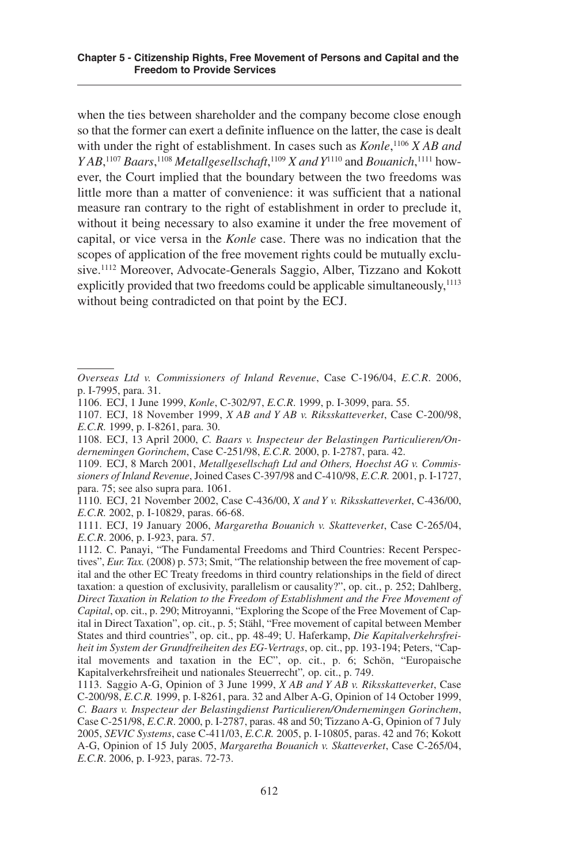when the ties between shareholder and the company become close enough so that the former can exert a definite influence on the latter, the case is dealt with under the right of establishment. In cases such as *Konle*, <sup>1106</sup> *X AB and YAB*<sup>,1107</sup> *Baars*,<sup>1108</sup> *Metallgesellschaft*,<sup>1109</sup> *X and Y*<sup>1110</sup> and *Bouanich*,<sup>1111</sup> however, the Court implied that the boundary between the two freedoms was little more than a matter of convenience: it was sufficient that a national measure ran contrary to the right of establishment in order to preclude it, without it being necessary to also examine it under the free movement of capital, or vice versa in the *Konle* case. There was no indication that the scopes of application of the free movement rights could be mutually exclusive. <sup>1112</sup> Moreover, Advocate-Generals Saggio, Alber, Tizzano and Kokott explicitly provided that two freedoms could be applicable simultaneously,<sup>1113</sup> without being contradicted on that point by the ECJ.

1110. ECJ, 21 November 2002, Case C-436/00, *X and Y v. Riksskatteverket*, C-436/00, *E.C.R.* 2002, p. I-10829, paras. 66-68.

1111. ECJ, 19 January 2006, *Margaretha Bouanich v. Skatteverket*, Case C-26/04, *E.C.R.* 2006, p. I-923, para. 57.

1112. C. Panayi, "The Fundamental Freedoms and Third Countries: Recent Perspectives", *Eur. Tax.* (2008) p. 73; Smit, "The relationship between the free movement of capital and the other EC Treaty freedoms in third country relationships in the field of direct taxation: a question of exclusivity, parallelism or causality?", op. cit., p. 252; Dahlberg, *Direct Taxation in Relation to the Freedom of Establishment and the Free Movement of Capital*, op. cit., p. 290; Mitroyanni, "Exploring the Scope of the Free Movement of Capital in Direct Taxation", op. cit., p. 5; Stähl, "Free movement of capital between Member States and third countries", op. cit., pp. 48-49; U. Haferkamp, *Die Kapitalverkehrsfreiheit im System der Grundfreiheiten des EG-Vertrags*, op. cit., pp. 193-194; Peters, "Capital movements and taxation in the EC", op. cit., p. 6; Schön, "Europaische Kapitalverkehrsfreiheit und nationales Steuerrecht"*,* op. cit., p. 749.

*Overseas Ltd v. Commissioners of Inland Revenue*, Case C-196/04, *E.C.R*. 2006, p. I-799, para. 31.

<sup>1106.</sup> ECJ, 1 June 1999, *Konle*, C-302/97, *E.C.R.* 1999, p. I-3099, para. 55.

<sup>1107.</sup> ECJ, 18 November 1999, *X AB and Y AB v. Riksskatteverket*, Case C-200/98, *E.C.R.* 1999, p. I-8261, para. 30.

<sup>1108.</sup> ECJ, 13 April 2000, *C. Baars v. Inspecteur der Belastingen Particulieren/Ondernemingen Gorinchem*, Case C-21/98, *E.C.R.* 2000, p. I-2787, para. 42.

<sup>1109.</sup> ECJ, 8 March 2001, *Metallgesellschaft Ltd and Others, Hoechst AG v. Commissioners of Inland Revenue*, Joined Cases C-397/98 and C-410/98, *E.C.R.* 2001, p. I-1727, para. 75; see also supra para. 1061.

<sup>1113.</sup> Saggio A-G, Opinion of 3 June 1999, *X AB and Y AB v. Riksskatteverket*, Case C-200/98, *E.C.R.* 1999, p. I-8261, para. 32 and Alber A-G, Opinion of 14 October 1999, *C. Baars v. Inspecteur der Belastingdienst Particulieren/Ondernemingen Gorinchem*, Case C-251/98, *E.C.R.* 2000, p. I-2787, paras. 48 and 50; Tizzano A-G, Opinion of 7 July 2005, *SEVIC Systems*, case C-411/03, *E.C.R.* 2005, p. I-10805, paras. 42 and 76; Kokott A-G, Opinion of 15 July 2005, *Margaretha Bouanich v. Skatteverket*, Case C-265/04, *E.C.R*. 2006, p. I-923, paras. 72-73.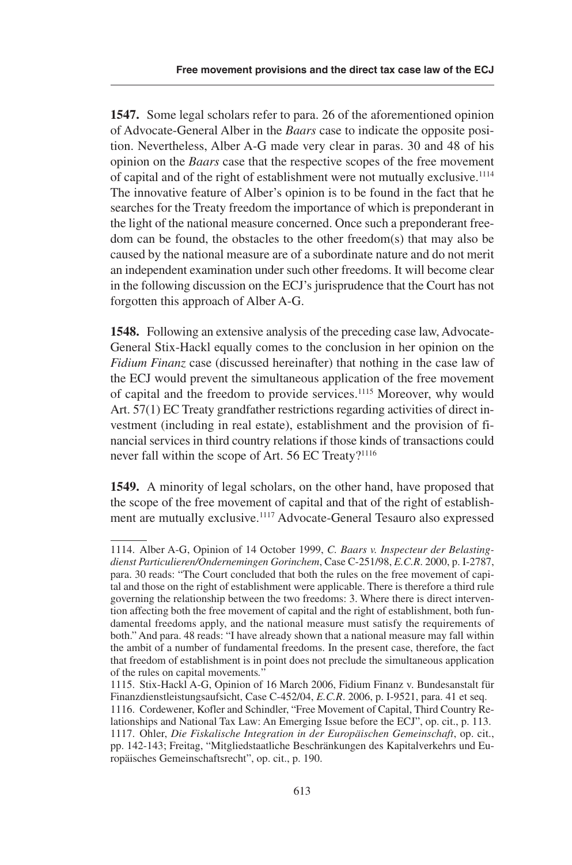**1547.** Some legal scholars refer to para. 26 of the aforementioned opinion of Advocate-General Alber in the *Baars* case to indicate the opposite position. Nevertheless, Alber A-G made very clear in paras. 30 and 48 of his opinion on the *Baars* case that the respective scopes of the free movement of capital and of the right of establishment were not mutually exclusive. 1114 The innovative feature of Alber's opinion is to be found in the fact that he searches for the Treaty freedom the importance of which is preponderant in the light of the national measure concerned. Once such a preponderant freedom can be found, the obstacles to the other freedom(s) that may also be caused by the national measure are of a subordinate nature and do not merit an independent examination under such other freedoms. It will become clear in the following discussion on the ECJ's jurisprudence that the Court has not forgotten this approach of Alber A-G.

**1548.** Following an extensive analysis of the preceding case law, Advocate-General Stix-Hackl equally comes to the conclusion in her opinion on the *Fidium Finanz* case (discussed hereinafter) that nothing in the case law of the ECJ would prevent the simultaneous application of the free movement of capital and the freedom to provide services.<sup>1115</sup> Moreover, why would Art.  $57(1)$  EC Treaty grandfather restrictions regarding activities of direct investment (including in real estate), establishment and the provision of financial services in third country relations if those kinds of transactions could never fall within the scope of Art. 56 EC Treaty?<sup>1116</sup>

**1549.** A minority of legal scholars, on the other hand, have proposed that the scope of the free movement of capital and that of the right of establishment are mutually exclusive.<sup>1117</sup> Advocate-General Tesauro also expressed

<sup>1114.</sup> Alber A-G, Opinion of 14 October 1999, *C. Baars v. Inspecteur der Belastingdienst Particulieren/Ondernemingen Gorinchem*, Case C-21/98, *E.C.R*. 2000, p. I-2787, para. 30 reads: "The Court concluded that both the rules on the free movement of capital and those on the right of establishment were applicable. There is therefore a third rule governing the relationship between the two freedoms: 3. Where there is direct intervention affecting both the free movement of capital and the right of establishment, both fundamental freedoms apply, and the national measure must satisfy the requirements of both." And para. 48 reads: "I have already shown that a national measure may fall within the ambit of a number of fundamental freedoms. In the present case, therefore, the fact that freedom of establishment is in point does not preclude the simultaneous application of the rules on capital movements*.*"

<sup>111.</sup> Stix-Hackl A-G, Opinion of 16 March 2006, Fidium Finanz v. Bundesanstalt für Finanzdienstleistungsaufsicht, Case C-452/04, *E.C.R.* 2006, p. I-9521, para. 41 et seq. 1116. Cordewener, Kofler and Schindler, "Free Movement of Capital, Third Country Relationships and National Tax Law: An Emerging Issue before the ECJ", op. cit., p. 113. 1117. Ohler, *Die Fiskalische Integration in der Europäischen Gemeinschaft*, op. cit., pp. 142-143; Freitag, "Mitgliedstaatliche Beschränkungen des Kapitalverkehrs und Europäisches Gemeinschaftsrecht", op. cit., p. 190.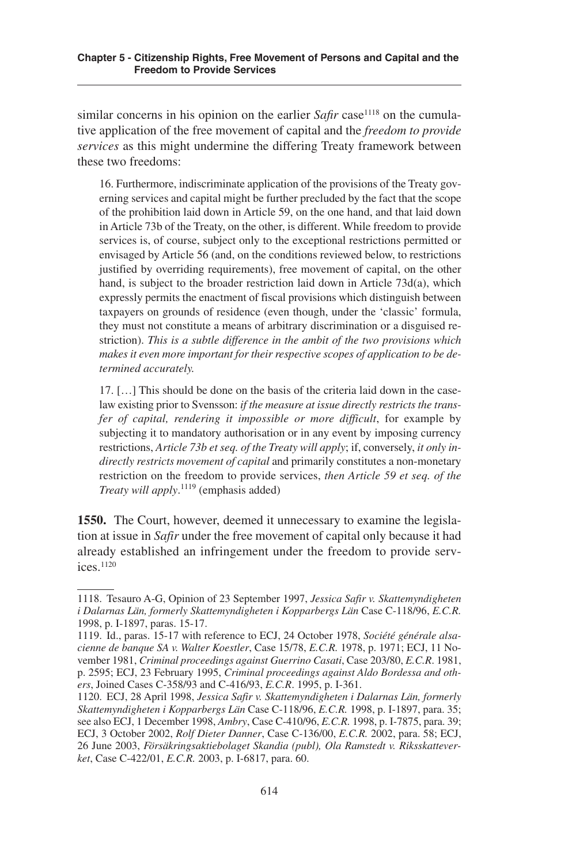similar concerns in his opinion on the earlier *Safir* case<sup>1118</sup> on the cumulative application of the free movement of capital and the *freedom to provide services* as this might undermine the differing Treaty framework between these two freedoms:

16. Furthermore, indiscriminate application of the provisions of the Treaty governing services and capital might be further precluded by the fact that the scope of the prohibition laid down in Article 9, on the one hand, and that laid down in Article 73b of the Treaty, on the other, is different. While freedom to provide services is, of course, subject only to the exceptional restrictions permitted or envisaged by Article 56 (and, on the conditions reviewed below, to restrictions justified by overriding requirements), free movement of capital, on the other hand, is subject to the broader restriction laid down in Article 73d(a), which expressly permits the enactment of fiscal provisions which distinguish between taxpayers on grounds of residence (even though, under the 'classic' formula, they must not constitute a means of arbitrary discrimination or a disguised restriction). *This is a subtle difference in the ambit of the two provisions which makes it even more important for their respective scopes of application to be determined accurately.*

17. […] This should be done on the basis of the criteria laid down in the caselaw existing prior to Svensson: *if the measure at issue directly restricts the transfer of capital, rendering it impossible or more difficult*, for example by subjecting it to mandatory authorisation or in any event by imposing currency restrictions, *Article 73b et seq. of the Treaty will apply*; if, conversely, *it only indirectly restricts movement of capital* and primarily constitutes a non-monetary restriction on the freedom to provide services, *then Article 59 et seq. of the Treaty will apply*. <sup>1119</sup> (emphasis added)

**1550.** The Court, however, deemed it unnecessary to examine the legislation at issue in *Safir* under the free movement of capital only because it had already established an infringement under the freedom to provide services. 1120

<sup>1118.</sup> Tesauro A-G, Opinion of 23 September 1997, *Jessica Safir v. Skattemyndigheten i Dalarnas Län, formerly Skattemyndigheten i Kopparbergs Län* Case C-118/96, *E.C.R.* 1998, p. I-1897, paras. 15-17.

<sup>1119.</sup> Id., paras. 15-17 with reference to ECJ, 24 October 1978, *Société générale alsacienne de banque SA v. Walter Koestler*, Case 1/78, *E.C.R.* 1978, p. 1971; ECJ, 11 November 1981, *Criminal proceedings against Guerrino Casati*, Case 203/80, *E.C.R*. 1981, p. 2595; ECJ, 23 February 1995, *Criminal proceedings against Aldo Bordessa and others*, Joined Cases C-358/93 and C-416/93, *E.C.R.* 1995, p. I-361.

<sup>1120.</sup> ECJ, 28 April 1998, *Jessica Safir v. Skattemyndigheten i Dalarnas Län, formerly Skattemyndigheten i Kopparbergs Län* Case C-118/96, *E.C.R.* 1998, p. I-1897, para. 3; see also ECJ, 1 December 1998, *Ambry*, Case C-410/96, *E.C.R.* 1998, p. I-7875, para. 39; ECJ, 3 October 2002, *Rolf Dieter Danner*, Case C-136/00, *E.C.R.* 2002, para. 8; ECJ, 26 June 2003, *Försäkringsaktiebolaget Skandia (publ), Ola Ramstedt v. Riksskatteverket*, Case C-422/01, *E.C.R.* 2003, p. I-6817, para. 60.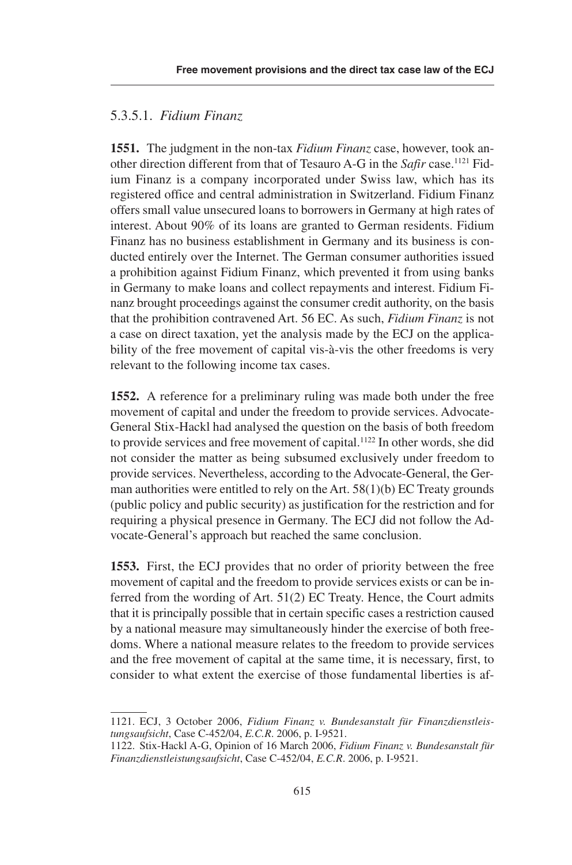#### .3..1. *Fidium Finanz*

**1551.** The judgment in the non-tax *Fidium Finanz* case, however, took another direction different from that of Tesauro A-G in the *Safir* case. <sup>1121</sup> Fidium Finanz is a company incorporated under Swiss law, which has its registered office and central administration in Switzerland. Fidium Finanz offers small value unsecured loans to borrowers in Germany at high rates of interest. About 90% of its loans are granted to German residents. Fidium Finanz has no business establishment in Germany and its business is conducted entirely over the Internet. The German consumer authorities issued a prohibition against Fidium Finanz, which prevented it from using banks in Germany to make loans and collect repayments and interest. Fidium Finanz brought proceedings against the consumer credit authority, on the basis that the prohibition contravened Art. 6 EC. As such, *Fidium Finanz* is not a case on direct taxation, yet the analysis made by the ECJ on the applicability of the free movement of capital vis-à-vis the other freedoms is very relevant to the following income tax cases.

**1552.** A reference for a preliminary ruling was made both under the free movement of capital and under the freedom to provide services. Advocate-General Stix-Hackl had analysed the question on the basis of both freedom to provide services and free movement of capital. <sup>1122</sup> In other words, she did not consider the matter as being subsumed exclusively under freedom to provide services. Nevertheless, according to the Advocate-General, the German authorities were entitled to rely on the Art.  $58(1)(b)$  EC Treaty grounds (public policy and public security) as justification for the restriction and for requiring a physical presence in Germany. The ECJ did not follow the Advocate-General's approach but reached the same conclusion.

**1553.** First, the ECJ provides that no order of priority between the free movement of capital and the freedom to provide services exists or can be inferred from the wording of Art.  $51(2)$  EC Treaty. Hence, the Court admits that it is principally possible that in certain specific cases a restriction caused by a national measure may simultaneously hinder the exercise of both freedoms. Where a national measure relates to the freedom to provide services and the free movement of capital at the same time, it is necessary, first, to consider to what extent the exercise of those fundamental liberties is af-

<sup>1121.</sup> ECJ, 3 October 2006, *Fidium Finanz v. Bundesanstalt für Finanzdienstleistungsaufsicht*, Case C-452/04, *E.C.R.* 2006, p. I-9521.

<sup>1122.</sup> Stix-Hackl A-G, Opinion of 16 March 2006, *Fidium Finanz v. Bundesanstalt für Finanzdienstleistungsaufsicht*, Case C-452/04, *E.C.R.* 2006, p. I-9521.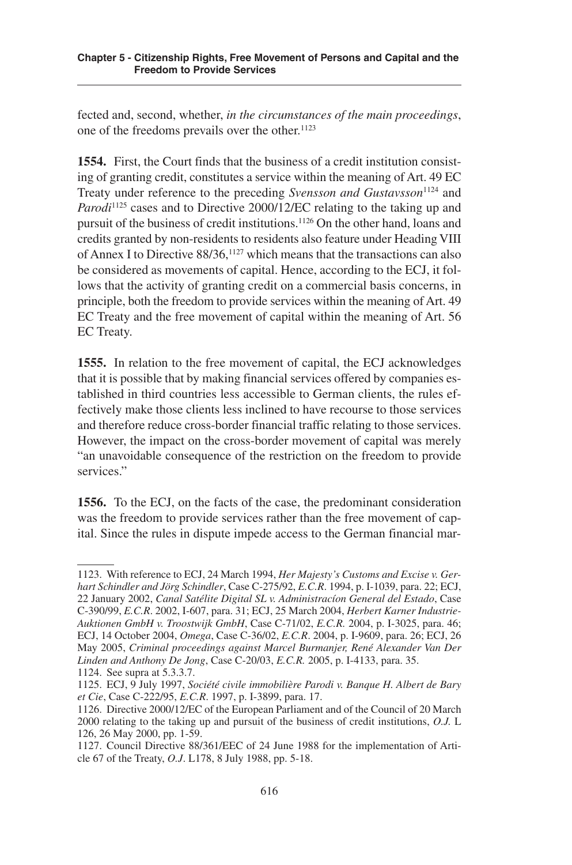fected and, second, whether, *in the circumstances of the main proceedings*, one of the freedoms prevails over the other. 1123

**1554.** First, the Court finds that the business of a credit institution consisting of granting credit, constitutes a service within the meaning of Art. 49 EC Treaty under reference to the preceding *Svensson and Gustavsson*<sup>1124</sup> and Parodi<sup>1125</sup> cases and to Directive 2000/12/EC relating to the taking up and pursuit of the business of credit institutions. <sup>1126</sup> On the other hand, loans and credits granted by non-residents to residents also feature under Heading VIII of Annex I to Directive 88/36,<sup>1127</sup> which means that the transactions can also be considered as movements of capital. Hence, according to the ECJ, it follows that the activity of granting credit on a commercial basis concerns, in principle, both the freedom to provide services within the meaning of Art. 49 EC Treaty and the free movement of capital within the meaning of Art. 56 EC Treaty.

**1555.** In relation to the free movement of capital, the ECJ acknowledges that it is possible that by making financial services offered by companies established in third countries less accessible to German clients, the rules effectively make those clients less inclined to have recourse to those services and therefore reduce cross-border financial traffic relating to those services. However, the impact on the cross-border movement of capital was merely "an unavoidable consequence of the restriction on the freedom to provide services."

**1556.** To the ECJ, on the facts of the case, the predominant consideration was the freedom to provide services rather than the free movement of capital. Since the rules in dispute impede access to the German financial mar-

<sup>1123.</sup> With reference to ECJ, 24 March 1994, *Her Majesty's Customs and Excise v. Gerhart Schindler and Jörg Schindler*, Case C-27/92, *E.C.R*. 1994, p. I-1039, para. 22; ECJ, 22 January 2002, *Canal Satélite Digital SL v. Administracíon General del Estado*, Case C-390/99, *E.C.R*. 2002, I-607, para. 31; ECJ, 2 March 2004, *Herbert Karner Industrie-Auktionen GmbH v. Troostwijk GmbH*, Case C-71/02, *E.C.R.* 2004, p. I-302, para. 46; ECJ, 14 October 2004, *Omega*, Case C-36/02, *E.C.R*. 2004, p. I-9609, para. 26; ECJ, 26 May 200, *Criminal proceedings against Marcel Burmanjer, René Alexander Van Der Linden and Anthony De Jong*, Case C-20/03, *E.C.R.* 2005, p. I-4133, para. 35.

<sup>1124.</sup> See supra at 5.3.3.7.

<sup>112.</sup> ECJ, 9 July 1997, *Société civile immobilière Parodi v. Banque H. Albert de Bary et Cie*, Case C-222/95, *E.C.R.* 1997, p. I-3899, para. 17.

<sup>1126.</sup> Directive 2000/12/EC of the European Parliament and of the Council of 20 March 2000 relating to the taking up and pursuit of the business of credit institutions, *O.J.* L 126, 26 May 2000, pp. 1-59.

<sup>1127.</sup> Council Directive 88/361/EEC of 24 June 1988 for the implementation of Article 67 of the Treaty, *O.J.* L178, 8 July 1988, pp. 5-18.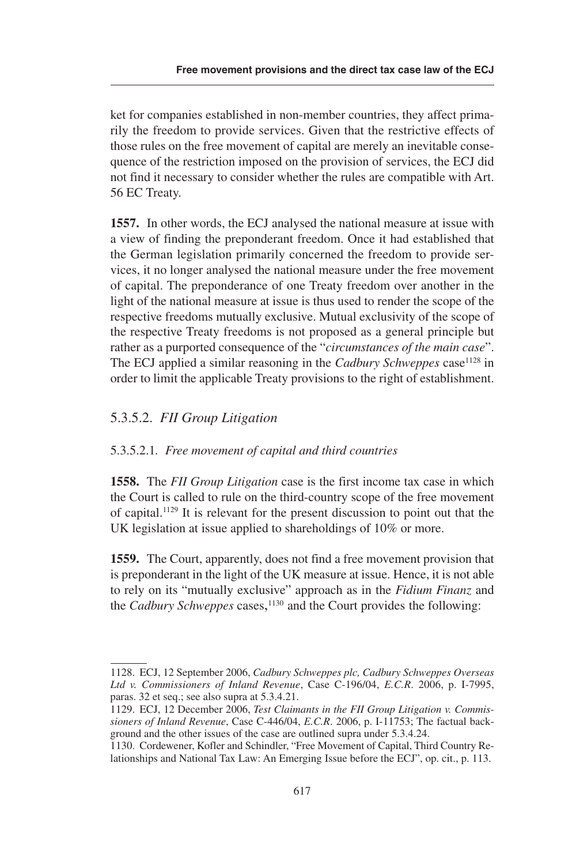ket for companies established in non-member countries, they affect primarily the freedom to provide services. Given that the restrictive effects of those rules on the free movement of capital are merely an inevitable consequence of the restriction imposed on the provision of services, the ECJ did not find it necessary to consider whether the rules are compatible with Art. 56 EC Treaty.

**1557.** In other words, the ECJ analysed the national measure at issue with a view of finding the preponderant freedom. Once it had established that the German legislation primarily concerned the freedom to provide services, it no longer analysed the national measure under the free movement of capital. The preponderance of one Treaty freedom over another in the light of the national measure at issue is thus used to render the scope of the respective freedoms mutually exclusive. Mutual exclusivity of the scope of the respective Treaty freedoms is not proposed as a general principle but rather as a purported consequence of the "*circumstances of the main case*". The ECJ applied a similar reasoning in the *Cadbury Schweppes* case<sup>1128</sup> in order to limit the applicable Treaty provisions to the right of establishment.

#### .3..2. *FII Group Litigation*

#### .3..2.1*. Free movement of capital and third countries*

**1558.** The *FII Group Litigation* case is the first income tax case in which the Court is called to rule on the third-country scope of the free movement of capital. <sup>1129</sup> It is relevant for the present discussion to point out that the UK legislation at issue applied to shareholdings of 10% or more.

**1559.** The Court, apparently, does not find a free movement provision that is preponderant in the light of the UK measure at issue. Hence, it is not able to rely on its "mutually exclusive" approach as in the *Fidium Finanz* and the *Cadbury Schweppes* cases, <sup>1130</sup> and the Court provides the following:

<sup>1128.</sup> ECJ, 12 September 2006, *Cadbury Schweppes plc, Cadbury Schweppes Overseas Ltd v. Commissioners of Inland Revenue*, Case C-196/04, *E.C.R*. 2006, p. I-799, paras.  $32$  et seq.; see also supra at  $5.3.4.21$ .

<sup>1129.</sup> ECJ, 12 December 2006, *Test Claimants in the FII Group Litigation v. Commissioners of Inland Revenue*, Case C-446/04, *E.C.R*. 2006, p. I-1173; The factual background and the other issues of the case are outlined supra under  $5.3.4.24$ .

<sup>1130.</sup> Cordewener, Kofler and Schindler, "Free Movement of Capital, Third Country Relationships and National Tax Law: An Emerging Issue before the ECJ", op. cit., p. 113.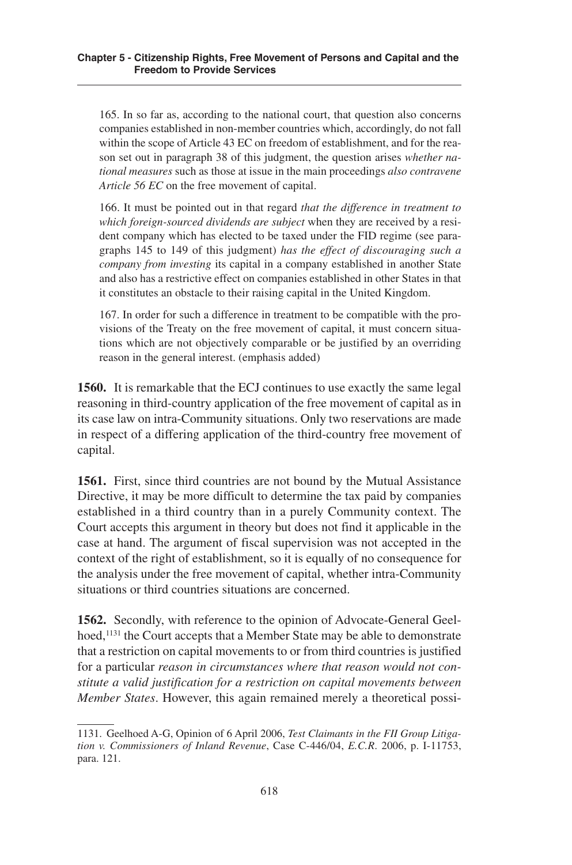165. In so far as, according to the national court, that question also concerns companies established in non-member countries which, accordingly, do not fall within the scope of Article 43 EC on freedom of establishment, and for the reason set out in paragraph 38 of this judgment, the question arises *whether national measures* such as those at issue in the main proceedings *also contravene Article 56 EC* on the free movement of capital.

166. It must be pointed out in that regard *that the difference in treatment to which foreign-sourced dividends are subject* when they are received by a resident company which has elected to be taxed under the FID regime (see paragraphs 14 to 149 of this judgment) *has the effect of discouraging such a company from investing* its capital in a company established in another State and also has a restrictive effect on companies established in other States in that it constitutes an obstacle to their raising capital in the United Kingdom.

167. In order for such a difference in treatment to be compatible with the provisions of the Treaty on the free movement of capital, it must concern situations which are not objectively comparable or be justified by an overriding reason in the general interest. (emphasis added)

**1560.** It is remarkable that the ECJ continues to use exactly the same legal reasoning in third-country application of the free movement of capital as in its case law on intra-Community situations. Only two reservations are made in respect of a differing application of the third-country free movement of capital.

**1561.** First, since third countries are not bound by the Mutual Assistance Directive, it may be more difficult to determine the tax paid by companies established in a third country than in a purely Community context. The Court accepts this argument in theory but does not find it applicable in the case at hand. The argument of fiscal supervision was not accepted in the context of the right of establishment, so it is equally of no consequence for the analysis under the free movement of capital, whether intra-Community situations or third countries situations are concerned.

**1562.** Secondly, with reference to the opinion of Advocate-General Geelhoed, <sup>1131</sup> the Court accepts that a Member State may be able to demonstrate that a restriction on capital movements to or from third countries is justified for a particular *reason in circumstances where that reason would not constitute a valid justification for a restriction on capital movements between Member States*. However, this again remained merely a theoretical possi-

<sup>1131.</sup> Geelhoed A-G, Opinion of 6 April 2006, *Test Claimants in the FII Group Litigation v. Commissioners of Inland Revenue*, Case C-446/04, *E.C.R*. 2006, p. I-1173, para. 121.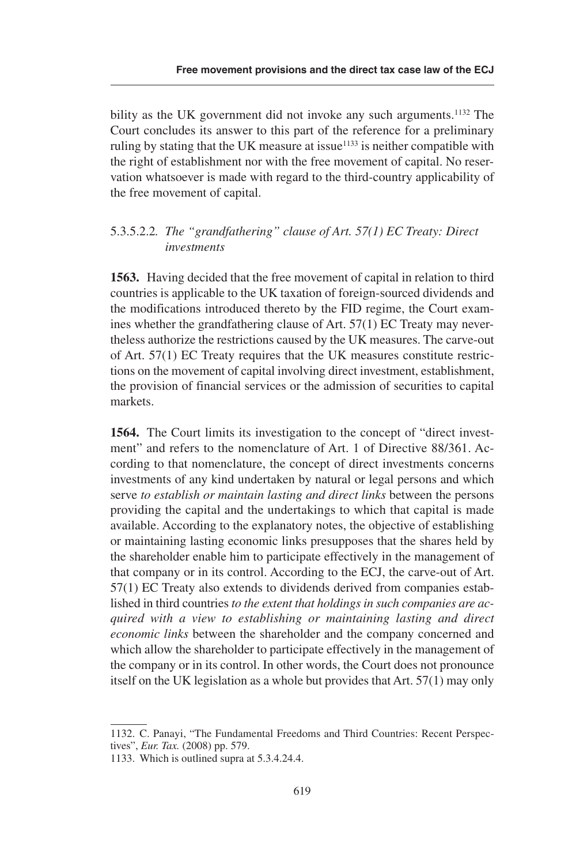bility as the UK government did not invoke any such arguments.<sup>1132</sup> The Court concludes its answer to this part of the reference for a preliminary ruling by stating that the UK measure at issue<sup> $1133$ </sup> is neither compatible with the right of establishment nor with the free movement of capital. No reservation whatsoever is made with regard to the third-country applicability of the free movement of capital.

### .3..2.2*. The "grandfathering" clause of Art. 57(1) EC Treaty: Direct investments*

**1563.** Having decided that the free movement of capital in relation to third countries is applicable to the UK taxation of foreign-sourced dividends and the modifications introduced thereto by the FID regime, the Court examines whether the grandfathering clause of Art.  $57(1)$  EC Treaty may nevertheless authorize the restrictions caused by the UK measures. The carve-out of Art.  $57(1)$  EC Treaty requires that the UK measures constitute restrictions on the movement of capital involving direct investment, establishment, the provision of financial services or the admission of securities to capital markets.

**1564.** The Court limits its investigation to the concept of "direct investment" and refers to the nomenclature of Art. 1 of Directive 88/361. According to that nomenclature, the concept of direct investments concerns investments of any kind undertaken by natural or legal persons and which serve *to establish or maintain lasting and direct links* between the persons providing the capital and the undertakings to which that capital is made available. According to the explanatory notes, the objective of establishing or maintaining lasting economic links presupposes that the shares held by the shareholder enable him to participate effectively in the management of that company or in its control. According to the ECJ, the carve-out of Art. 7(1) EC Treaty also extends to dividends derived from companies established in third countries *to the extent that holdings in such companies are acquired with a view to establishing or maintaining lasting and direct economic links* between the shareholder and the company concerned and which allow the shareholder to participate effectively in the management of the company or in its control. In other words, the Court does not pronounce itself on the UK legislation as a whole but provides that  $Art. 57(1)$  may only

<sup>1132.</sup> C. Panayi, "The Fundamental Freedoms and Third Countries: Recent Perspectives", *Eur. Tax.* (2008) pp. 579.

<sup>1133.</sup> Which is outlined supra at  $5.3.4.24.4$ .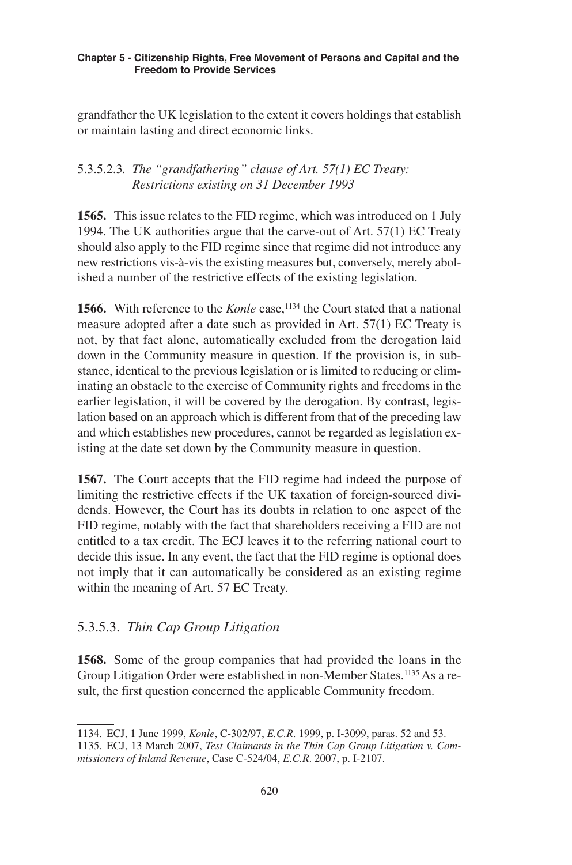grandfather the UK legislation to the extent it covers holdings that establish or maintain lasting and direct economic links.

### .3..2.3*. The "grandfathering" clause of Art. 57(1) EC Treaty: Restrictions existing on 31 December 1993*

**1565.** This issue relates to the FID regime, which was introduced on 1 July 1994. The UK authorities argue that the carve-out of Art.  $57(1)$  EC Treaty should also apply to the FID regime since that regime did not introduce any new restrictions vis-à-vis the existing measures but, conversely, merely abolished a number of the restrictive effects of the existing legislation.

**1566.** With reference to the *Konle* case, <sup>1134</sup> the Court stated that a national measure adopted after a date such as provided in Art.  $57(1)$  EC Treaty is not, by that fact alone, automatically excluded from the derogation laid down in the Community measure in question. If the provision is, in substance, identical to the previous legislation or is limited to reducing or eliminating an obstacle to the exercise of Community rights and freedoms in the earlier legislation, it will be covered by the derogation. By contrast, legislation based on an approach which is different from that of the preceding law and which establishes new procedures, cannot be regarded as legislation existing at the date set down by the Community measure in question.

**1567.** The Court accepts that the FID regime had indeed the purpose of limiting the restrictive effects if the UK taxation of foreign-sourced dividends. However, the Court has its doubts in relation to one aspect of the FID regime, notably with the fact that shareholders receiving a FID are not entitled to a tax credit. The ECJ leaves it to the referring national court to decide this issue. In any event, the fact that the FID regime is optional does not imply that it can automatically be considered as an existing regime within the meaning of Art. 57 EC Treaty.

## .3..3. *Thin Cap Group Litigation*

**1568.** Some of the group companies that had provided the loans in the Group Litigation Order were established in non-Member States.<sup>1135</sup> As a result, the first question concerned the applicable Community freedom.

<sup>1134.</sup> ECJ, 1 June 1999, *Konle*, C-302/97, *E.C.R*. 1999, p. I-3099, paras. 2 and 3.

<sup>113.</sup> ECJ, 13 March 2007, *Test Claimants in the Thin Cap Group Litigation v. Commissioners of Inland Revenue*, Case C-24/04, *E.C.R*. 2007, p. I-2107.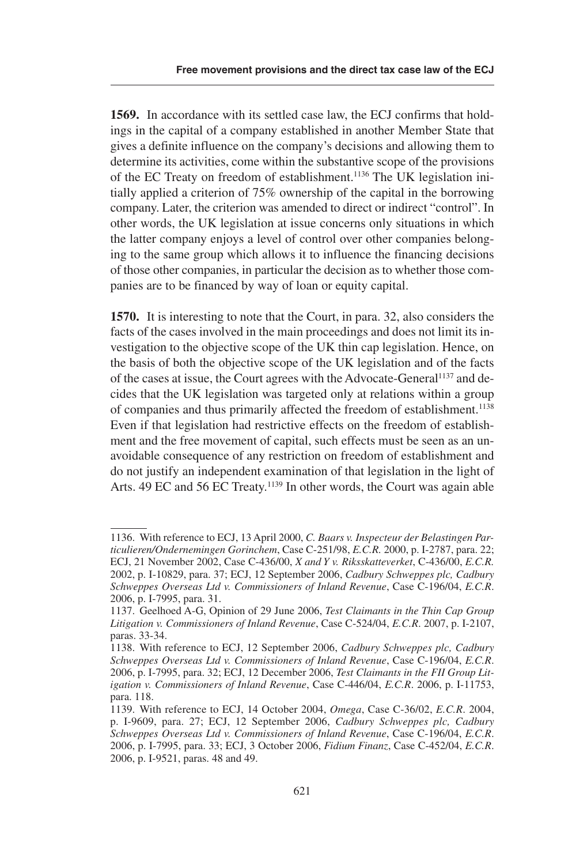**1569.** In accordance with its settled case law, the ECJ confirms that holdings in the capital of a company established in another Member State that gives a definite influence on the company's decisions and allowing them to determine its activities, come within the substantive scope of the provisions of the EC Treaty on freedom of establishment. <sup>1136</sup> The UK legislation initially applied a criterion of  $75\%$  ownership of the capital in the borrowing company. Later, the criterion was amended to direct or indirect "control". In other words, the UK legislation at issue concerns only situations in which the latter company enjoys a level of control over other companies belonging to the same group which allows it to influence the financing decisions of those other companies, in particular the decision as to whether those companies are to be financed by way of loan or equity capital.

**1570.** It is interesting to note that the Court, in para. 32, also considers the facts of the cases involved in the main proceedings and does not limit its investigation to the objective scope of the UK thin cap legislation. Hence, on the basis of both the objective scope of the UK legislation and of the facts of the cases at issue, the Court agrees with the Advocate-General <sup>1137</sup> and decides that the UK legislation was targeted only at relations within a group of companies and thus primarily affected the freedom of establishment.<sup>1138</sup> Even if that legislation had restrictive effects on the freedom of establishment and the free movement of capital, such effects must be seen as an unavoidable consequence of any restriction on freedom of establishment and do not justify an independent examination of that legislation in the light of Arts. 49 EC and 56 EC Treaty.<sup>1139</sup> In other words, the Court was again able

<sup>1136.</sup> With reference to ECJ, 13 April 2000, *C. Baars v. Inspecteur der Belastingen Particulieren/Ondernemingen Gorinchem*, Case C-21/98, *E.C.R.* 2000, p. I-2787, para. 22; ECJ, 21 November 2002, Case C-436/00, *X and Y v. Riksskatteverket*, C-436/00, *E.C.R.* 2002, p. I-10829, para. 37; ECJ, 12 September 2006, *Cadbury Schweppes plc, Cadbury Schweppes Overseas Ltd v. Commissioners of Inland Revenue*, Case C-196/04, *E.C.R*. 2006, p. I-7995, para. 31.

<sup>1137.</sup> Geelhoed A-G, Opinion of 29 June 2006, *Test Claimants in the Thin Cap Group Litigation v. Commissioners of Inland Revenue*, Case C-24/04, *E.C.R*. 2007, p. I-2107, paras. 33-34.

<sup>1138.</sup> With reference to ECJ, 12 September 2006, *Cadbury Schweppes plc, Cadbury Schweppes Overseas Ltd v. Commissioners of Inland Revenue*, Case C-196/04, *E.C.R*. 2006, p. I-7995, para. 32; ECJ, 12 December 2006, *Test Claimants in the FII Group Litigation v. Commissioners of Inland Revenue*, Case C-446/04, *E.C.R*. 2006, p. I-1173, para. 118.

<sup>1139.</sup> With reference to ECJ, 14 October 2004, *Omega*, Case C-36/02, *E.C.R*. 2004, p. I-9609, para. 27; ECJ, 12 September 2006, *Cadbury Schweppes plc, Cadbury Schweppes Overseas Ltd v. Commissioners of Inland Revenue*, Case C-196/04, *E.C.R*. 2006, p. I-799, para. 33; ECJ, 3 October 2006, *Fidium Finanz*, Case C-42/04, *E.C.R*. 2006, p. I-9521, paras. 48 and 49.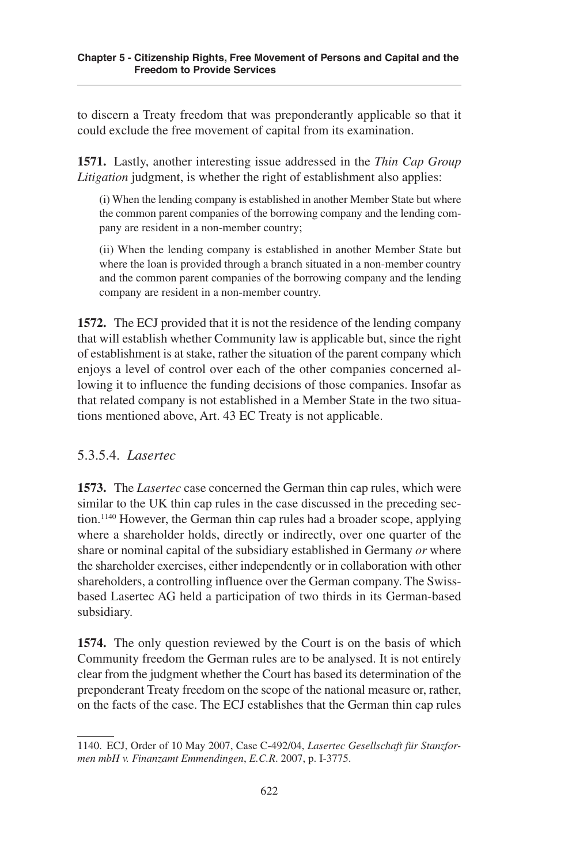to discern a Treaty freedom that was preponderantly applicable so that it could exclude the free movement of capital from its examination.

**1571.** Lastly, another interesting issue addressed in the *Thin Cap Group Litigation* judgment, is whether the right of establishment also applies:

(i) When the lending company is established in another Member State but where the common parent companies of the borrowing company and the lending company are resident in a non-member country;

(ii) When the lending company is established in another Member State but where the loan is provided through a branch situated in a non-member country and the common parent companies of the borrowing company and the lending company are resident in a non-member country.

**1572.** The ECJ provided that it is not the residence of the lending company that will establish whether Community law is applicable but, since the right of establishment is at stake, rather the situation of the parent company which enjoys a level of control over each of the other companies concerned allowing it to influence the funding decisions of those companies. Insofar as that related company is not established in a Member State in the two situations mentioned above, Art. 43 EC Treaty is not applicable.

## .3..4. *Lasertec*

**1573.** The *Lasertec* case concerned the German thin cap rules, which were similar to the UK thin cap rules in the case discussed in the preceding section. <sup>1140</sup> However, the German thin cap rules had a broader scope, applying where a shareholder holds, directly or indirectly, over one quarter of the share or nominal capital of the subsidiary established in Germany *or* where the shareholder exercises, either independently or in collaboration with other shareholders, a controlling influence over the German company. The Swissbased Lasertec AG held a participation of two thirds in its German-based subsidiary.

**1574.** The only question reviewed by the Court is on the basis of which Community freedom the German rules are to be analysed. It is not entirely clear from the judgment whether the Court has based its determination of the preponderant Treaty freedom on the scope of the national measure or, rather, on the facts of the case. The ECJ establishes that the German thin cap rules

<sup>1140.</sup> ECJ, Order of 10 May 2007, Case C-492/04, *Lasertec Gesellschaft für Stanzformen mbH v. Finanzamt Emmendingen*, *E.C.R*. 2007, p. I-377.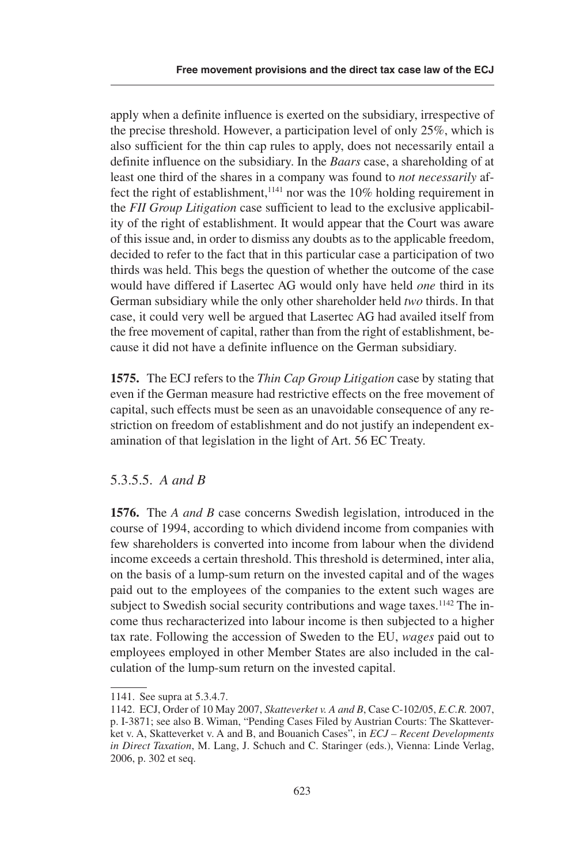apply when a definite influence is exerted on the subsidiary, irrespective of the precise threshold. However, a participation level of only  $25\%$ , which is also sufficient for the thin cap rules to apply, does not necessarily entail a definite influence on the subsidiary. In the *Baars* case, a shareholding of at least one third of the shares in a company was found to *not necessarily* affect the right of establishment,<sup>1141</sup> nor was the 10% holding requirement in the *FII Group Litigation* case sufficient to lead to the exclusive applicability of the right of establishment. It would appear that the Court was aware of this issue and, in order to dismiss any doubts as to the applicable freedom, decided to refer to the fact that in this particular case a participation of two thirds was held. This begs the question of whether the outcome of the case would have differed if Lasertec AG would only have held *one* third in its German subsidiary while the only other shareholder held *two* thirds. In that case, it could very well be argued that Lasertec AG had availed itself from the free movement of capital, rather than from the right of establishment, because it did not have a definite influence on the German subsidiary.

**1575.** The ECJ refers to the *Thin Cap Group Litigation* case by stating that even if the German measure had restrictive effects on the free movement of capital, such effects must be seen as an unavoidable consequence of any restriction on freedom of establishment and do not justify an independent examination of that legislation in the light of Art. 56 EC Treaty.

### 5.3.5.5. *A* and *B*

**1576.** The *A and B* case concerns Swedish legislation, introduced in the course of 1994, according to which dividend income from companies with few shareholders is converted into income from labour when the dividend income exceeds a certain threshold. This threshold is determined, inter alia, on the basis of a lump-sum return on the invested capital and of the wages paid out to the employees of the companies to the extent such wages are subject to Swedish social security contributions and wage taxes.<sup>1142</sup> The income thus recharacterized into labour income is then subjected to a higher tax rate. Following the accession of Sweden to the EU, *wages* paid out to employees employed in other Member States are also included in the calculation of the lump-sum return on the invested capital.

<sup>1141.</sup> See supra at 5.3.4.7.

<sup>1142.</sup> ECJ, Order of 10 May 2007, *Skatteverket v. A and B*, Case C-102/05, *E.C.R.* 2007, p. I-3871; see also B. Wiman, "Pending Cases Filed by Austrian Courts: The Skatteverket v. A, Skatteverket v. A and B, and Bouanich Cases", in *ECJ – Recent Developments in Direct Taxation*, M. Lang, J. Schuch and C. Staringer (eds.), Vienna: Linde Verlag, 2006, p. 302 et seq.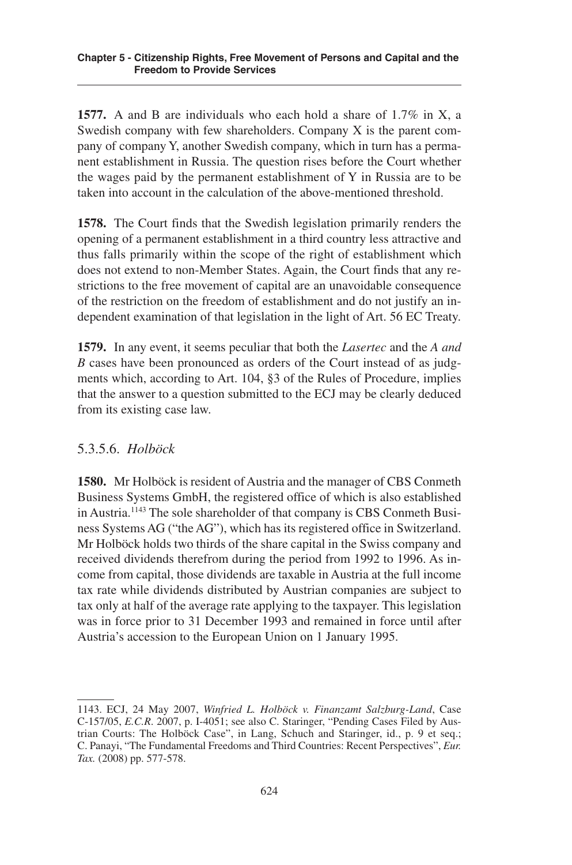**1577.** A and B are individuals who each hold a share of 1.7% in X, a Swedish company with few shareholders. Company X is the parent company of company Y, another Swedish company, which in turn has a permanent establishment in Russia. The question rises before the Court whether the wages paid by the permanent establishment of Y in Russia are to be taken into account in the calculation of the above-mentioned threshold.

**1578.** The Court finds that the Swedish legislation primarily renders the opening of a permanent establishment in a third country less attractive and thus falls primarily within the scope of the right of establishment which does not extend to non-Member States. Again, the Court finds that any restrictions to the free movement of capital are an unavoidable consequence of the restriction on the freedom of establishment and do not justify an independent examination of that legislation in the light of Art. 56 EC Treaty.

**1579.** In any event, it seems peculiar that both the *Lasertec* and the *A and B* cases have been pronounced as orders of the Court instead of as judgments which, according to Art. 104, §3 of the Rules of Procedure, implies that the answer to a question submitted to the ECJ may be clearly deduced from its existing case law.

## .3..6. *Holböck*

**1580.** Mr Holböck is resident of Austria and the manager of CBS Conmeth Business Systems GmbH, the registered office of which is also established in Austria.<sup>1143</sup> The sole shareholder of that company is CBS Conmeth Business Systems AG ("the AG"), which has its registered office in Switzerland. Mr Holböck holds two thirds of the share capital in the Swiss company and received dividends therefrom during the period from 1992 to 1996. As income from capital, those dividends are taxable in Austria at the full income tax rate while dividends distributed by Austrian companies are subject to tax only at half of the average rate applying to the taxpayer. This legislation was in force prior to 31 December 1993 and remained in force until after Austria's accession to the European Union on 1 January 199.

<sup>1143.</sup> ECJ, 24 May 2007, *Winfried L. Holböck v. Finanzamt Salzburg-Land*, Case C-157/05, *E.C.R.* 2007, p. I-4051; see also C. Staringer, "Pending Cases Filed by Austrian Courts: The Holböck Case", in Lang, Schuch and Staringer, id., p. 9 et seq.; C. Panayi, "The Fundamental Freedoms and Third Countries: Recent Perspectives", *Eur.* Tax. (2008) pp. 577-578.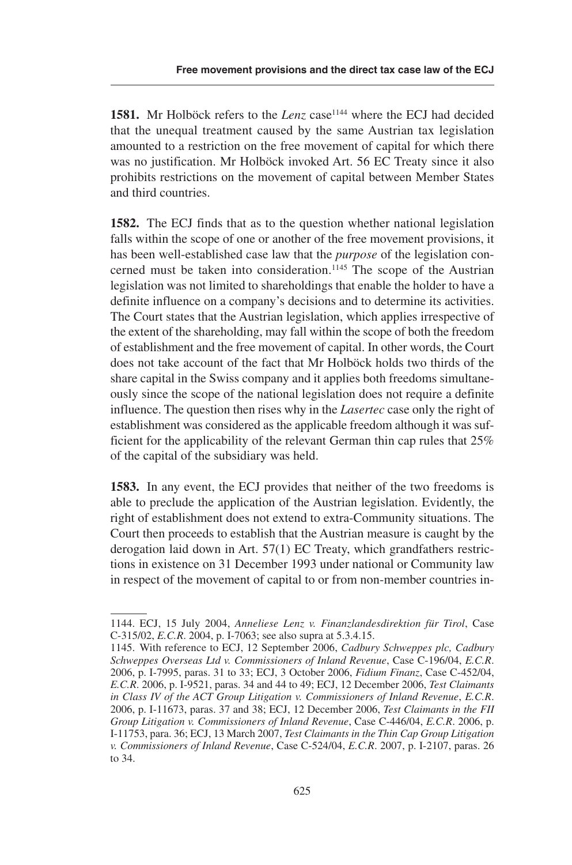**1581.** Mr Holböck refers to the *Lenz* case<sup>1144</sup> where the ECJ had decided that the unequal treatment caused by the same Austrian tax legislation amounted to a restriction on the free movement of capital for which there was no justification. Mr Holböck invoked Art. 56 EC Treaty since it also prohibits restrictions on the movement of capital between Member States and third countries.

**1582.** The ECJ finds that as to the question whether national legislation falls within the scope of one or another of the free movement provisions, it has been well-established case law that the *purpose* of the legislation concerned must be taken into consideration.<sup>1145</sup> The scope of the Austrian legislation was not limited to shareholdings that enable the holder to have a definite influence on a company's decisions and to determine its activities. The Court states that the Austrian legislation, which applies irrespective of the extent of the shareholding, may fall within the scope of both the freedom of establishment and the free movement of capital. In other words, the Court does not take account of the fact that Mr Holböck holds two thirds of the share capital in the Swiss company and it applies both freedoms simultaneously since the scope of the national legislation does not require a definite influence. The question then rises why in the *Lasertec* case only the right of establishment was considered as the applicable freedom although it was sufficient for the applicability of the relevant German thin cap rules that  $25\%$ of the capital of the subsidiary was held.

**1583.** In any event, the ECJ provides that neither of the two freedoms is able to preclude the application of the Austrian legislation. Evidently, the right of establishment does not extend to extra-Community situations. The Court then proceeds to establish that the Austrian measure is caught by the derogation laid down in Art.  $57(1)$  EC Treaty, which grandfathers restrictions in existence on 31 December 1993 under national or Community law in respect of the movement of capital to or from non-member countries in-

<sup>1144.</sup> ECJ, 15 July 2004, *Anneliese Lenz v. Finanzlandesdirektion für Tirol*, Case C-315/02, *E.C.R.* 2004, p. I-7063; see also supra at 5.3.4.15.

<sup>114.</sup> With reference to ECJ, 12 September 2006, *Cadbury Schweppes plc, Cadbury Schweppes Overseas Ltd v. Commissioners of Inland Revenue*, Case C-196/04, *E.C.R*. 2006, p. I-7995, paras. 31 to 33; ECJ, 3 October 2006, *Fidium Finanz*, Case C-452/04, *E.C.R*. 2006, p. I-921, paras. 34 and 44 to 49; ECJ, 12 December 2006, *Test Claimants in Class IV of the ACT Group Litigation v. Commissioners of Inland Revenue*, *E.C.R*. 2006, p. I-11673, paras. 37 and 38; ECJ, 12 December 2006, *Test Claimants in the FII Group Litigation v. Commissioners of Inland Revenue*, Case C-446/04, *E.C.R*. 2006, p. I-1173, para. 36; ECJ, 13 March 2007, *Test Claimants in the Thin Cap Group Litigation v. Commissioners of Inland Revenue, Case C-524/04, E.C.R. 2007, p. I-2107, paras. 26* to 34.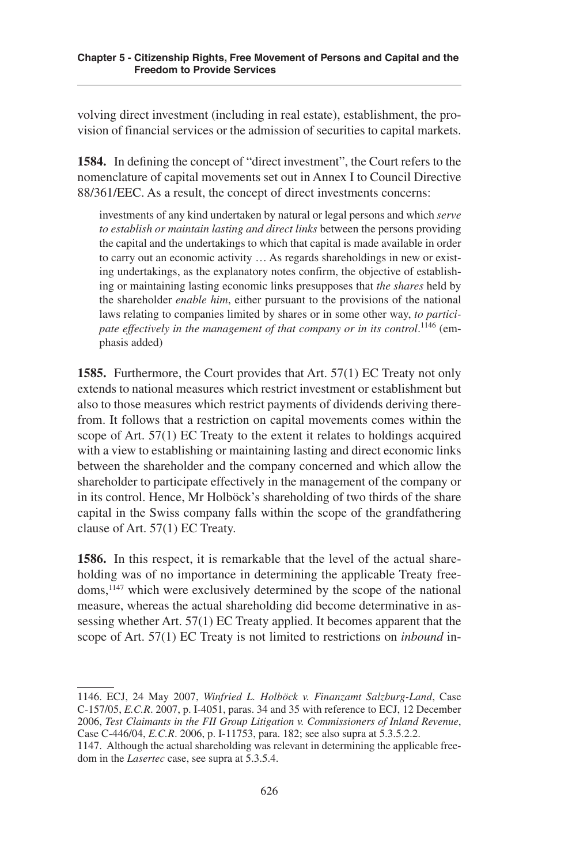volving direct investment (including in real estate), establishment, the provision of financial services or the admission of securities to capital markets.

**1584.** In defining the concept of "direct investment", the Court refers to the nomenclature of capital movements set out in Annex I to Council Directive 88/361/EEC. As a result, the concept of direct investments concerns:

investments of any kind undertaken by natural or legal persons and which *serve to establish or maintain lasting and direct links* between the persons providing the capital and the undertakings to which that capital is made available in order to carry out an economic activity … As regards shareholdings in new or existing undertakings, as the explanatory notes confirm, the objective of establishing or maintaining lasting economic links presupposes that *the shares* held by the shareholder *enable him*, either pursuant to the provisions of the national laws relating to companies limited by shares or in some other way, *to participate effectively in the management of that company or in its control*. <sup>1146</sup> (emphasis added)

**1585.** Furthermore, the Court provides that Art. 57(1) EC Treaty not only extends to national measures which restrict investment or establishment but also to those measures which restrict payments of dividends deriving therefrom. It follows that a restriction on capital movements comes within the scope of Art.  $57(1)$  EC Treaty to the extent it relates to holdings acquired with a view to establishing or maintaining lasting and direct economic links between the shareholder and the company concerned and which allow the shareholder to participate effectively in the management of the company or in its control. Hence, Mr Holböck's shareholding of two thirds of the share capital in the Swiss company falls within the scope of the grandfathering clause of Art.  $57(1)$  EC Treaty.

**1586.** In this respect, it is remarkable that the level of the actual shareholding was of no importance in determining the applicable Treaty freedoms, <sup>1147</sup> which were exclusively determined by the scope of the national measure, whereas the actual shareholding did become determinative in assessing whether Art.  $57(1)$  EC Treaty applied. It becomes apparent that the scope of Art. 57(1) EC Treaty is not limited to restrictions on *inbound* in-

<sup>1146.</sup> ECJ, 24 May 2007, *Winfried L. Holböck v. Finanzamt Salzburg-Land*, Case C-157/05, *E.C.R.* 2007, p. I-4051, paras. 34 and 35 with reference to ECJ, 12 December 2006, *Test Claimants in the FII Group Litigation v. Commissioners of Inland Revenue*, Case C-446/04, *E.C.R.* 2006, p. I-11753, para. 182; see also supra at 5.3.5.2.2.

<sup>1147.</sup> Although the actual shareholding was relevant in determining the applicable freedom in the *Lasertec* case, see supra at 5.3.5.4.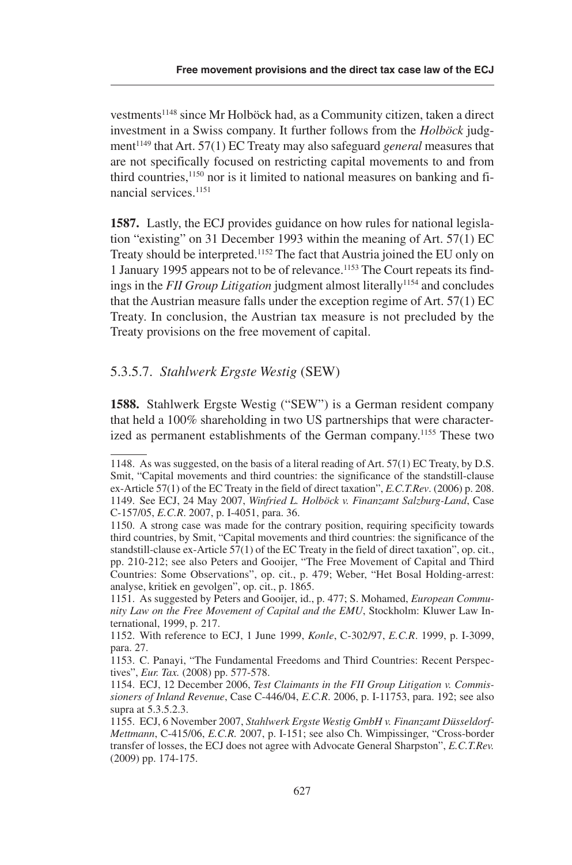vestments<sup>1148</sup> since Mr Holböck had, as a Community citizen, taken a direct investment in a Swiss company. It further follows from the *Holböck* judgment<sup>1149</sup> that Art. 57(1) EC Treaty may also safeguard *general* measures that are not specifically focused on restricting capital movements to and from third countries,<sup>1150</sup> nor is it limited to national measures on banking and financial services.<sup>1151</sup>

**1587.** Lastly, the ECJ provides guidance on how rules for national legislation "existing" on 31 December 1993 within the meaning of Art.  $57(1)$  EC Treaty should be interpreted.<sup>1152</sup> The fact that Austria joined the EU only on 1 January 1995 appears not to be of relevance.<sup>1153</sup> The Court repeats its findings in the *FII Group Litigation* judgment almost literally<sup>1154</sup> and concludes that the Austrian measure falls under the exception regime of Art.  $57(1)$  EC Treaty. In conclusion, the Austrian tax measure is not precluded by the Treaty provisions on the free movement of capital.

#### .3..7. *Stahlwerk Ergste Westig* (SEW)

**1588.** Stahlwerk Ergste Westig ("SEW") is a German resident company that held a 100% shareholding in two US partnerships that were characterized as permanent establishments of the German company.<sup>1155</sup> These two

<sup>1148.</sup> As was suggested, on the basis of a literal reading of Art. 57(1) EC Treaty, by D.S. Smit, "Capital movements and third countries: the significance of the standstill-clause ex-Article 57(1) of the EC Treaty in the field of direct taxation", *E.C.T.Rev*. (2006) p. 208. 1149. See ECJ, 24 May 2007, *Winfried L. Holböck v. Finanzamt Salzburg-Land*, Case C-157/05, *E.C.R.* 2007, p. I-4051, para. 36.

<sup>1150.</sup> A strong case was made for the contrary position, requiring specificity towards third countries, by Smit, "Capital movements and third countries: the significance of the standstill-clause ex-Article 7(1) of the EC Treaty in the field of direct taxation", op. cit., pp. 210-212; see also Peters and Gooijer, "The Free Movement of Capital and Third Countries: Some Observations", op. cit., p. 479; Weber, "Het Bosal Holding-arrest: analyse, kritiek en gevolgen", op. cit., p. 1865.

<sup>111.</sup> As suggested by Peters and Gooijer, id., p. 477; S. Mohamed, *European Community Law on the Free Movement of Capital and the EMU*, Stockholm: Kluwer Law International, 1999, p. 217.

<sup>112.</sup> With reference to ECJ, 1 June 1999, *Konle*, C-302/97, *E.C.R*. 1999, p. I-3099, para. 27.

<sup>113.</sup> C. Panayi, "The Fundamental Freedoms and Third Countries: Recent Perspectives", *Eur. Tax.* (2008) pp. 577-578.

<sup>114.</sup> ECJ, 12 December 2006, *Test Claimants in the FII Group Litigation v. Commissioners of Inland Revenue*, Case C-446/04, *E.C.R*. 2006, p. I-1173, para. 192; see also supra at  $5.3.5.2.3$ .

<sup>11.</sup> ECJ, 6 November 2007, *Stahlwerk Ergste Westig GmbH v. Finanzamt Düsseldorf-Mettmann*, C-415/06, *E.C.R.* 2007, p. I-151; see also Ch. Wimpissinger, "Cross-border transfer of losses, the ECJ does not agree with Advocate General Sharpston", *E.C.T.Rev.* (2009) pp. 174-175.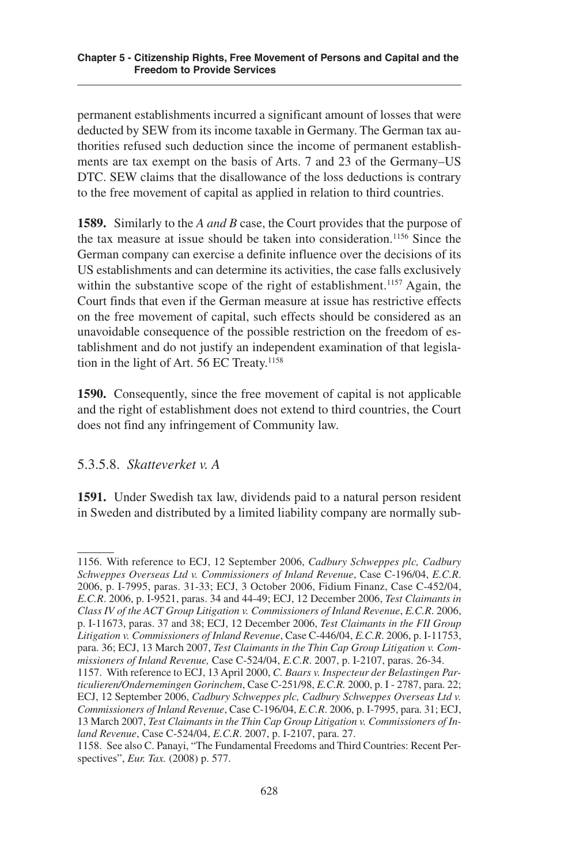permanent establishments incurred a significant amount of losses that were deducted by SEW from its income taxable in Germany. The German tax authorities refused such deduction since the income of permanent establishments are tax exempt on the basis of Arts. 7 and 23 of the Germany–US DTC. SEW claims that the disallowance of the loss deductions is contrary to the free movement of capital as applied in relation to third countries.

**1589.** Similarly to the *A and B* case, the Court provides that the purpose of the tax measure at issue should be taken into consideration.<sup>1156</sup> Since the German company can exercise a definite influence over the decisions of its US establishments and can determine its activities, the case falls exclusively within the substantive scope of the right of establishment.<sup>1157</sup> Again, the Court finds that even if the German measure at issue has restrictive effects on the free movement of capital, such effects should be considered as an unavoidable consequence of the possible restriction on the freedom of establishment and do not justify an independent examination of that legislation in the light of Art. 56 EC Treaty.<sup>1158</sup>

**1590.** Consequently, since the free movement of capital is not applicable and the right of establishment does not extend to third countries, the Court does not find any infringement of Community law.

## .3..8. *Skatteverket v. A*

**1591.** Under Swedish tax law, dividends paid to a natural person resident in Sweden and distributed by a limited liability company are normally sub-

<sup>116.</sup> With reference to ECJ, 12 September 2006, *Cadbury Schweppes plc, Cadbury Schweppes Overseas Ltd v. Commissioners of Inland Revenue*, Case C-196/04, *E.C.R*. 2006, p. I-7995, paras. 31-33; ECJ, 3 October 2006, Fidium Finanz, Case C-452/04, *E.C.R*. 2006, p. I-921, paras. 34 and 44-49; ECJ, 12 December 2006, *Test Claimants in Class IV of the ACT Group Litigation v. Commissioners of Inland Revenue*, *E.C.R*. 2006, p. I-11673, paras. 37 and 38; ECJ, 12 December 2006, *Test Claimants in the FII Group Litigation v. Commissioners of Inland Revenue*, Case C-446/04, *E.C.R*. 2006, p. I-1173, para. 36; ECJ, 13 March 2007, *Test Claimants in the Thin Cap Group Litigation v. Commissioners of Inland Revenue,* Case C-24/04, *E.C.R*. 2007, p. I-2107, paras. 26-34.

<sup>117.</sup> With reference to ECJ, 13 April 2000, *C. Baars v. Inspecteur der Belastingen Particulieren/Ondernemingen Gorinchem*, Case C-21/98, *E.C.R.* 2000, p. I - 2787, para. 22; ECJ, 12 September 2006, *Cadbury Schweppes plc, Cadbury Schweppes Overseas Ltd v. Commissioners of Inland Revenue*, Case C-196/04, *E.C.R*. 2006, p. I-799, para. 31; ECJ, 13 March 2007, *Test Claimants in the Thin Cap Group Litigation v. Commissioners of Inland Revenue*, Case C-24/04, *E.C.R*. 2007, p. I-2107, para. 27.

<sup>118.</sup> See also C. Panayi, "The Fundamental Freedoms and Third Countries: Recent Perspectives", *Eur. Tax.* (2008) p. 577.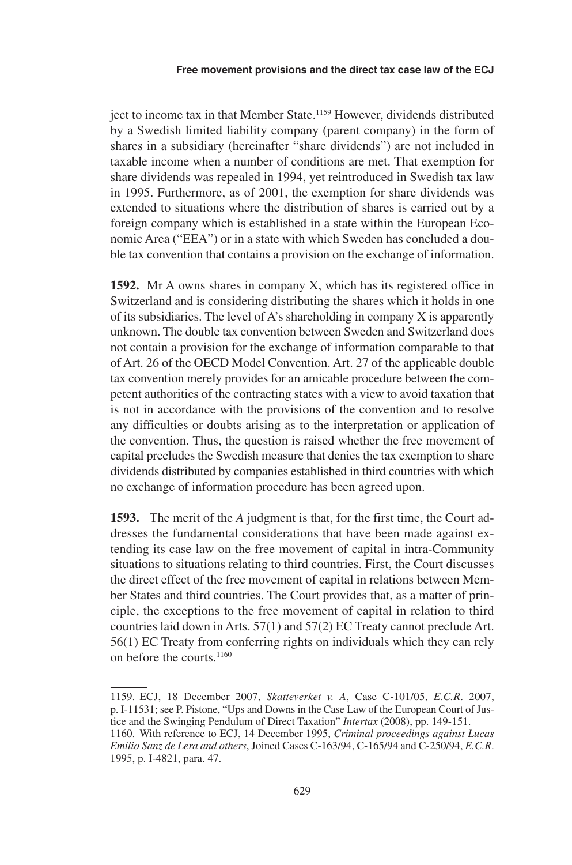ject to income tax in that Member State.<sup>1159</sup> However, dividends distributed by a Swedish limited liability company (parent company) in the form of shares in a subsidiary (hereinafter "share dividends") are not included in taxable income when a number of conditions are met. That exemption for share dividends was repealed in 1994, yet reintroduced in Swedish tax law in 1995. Furthermore, as of 2001, the exemption for share dividends was extended to situations where the distribution of shares is carried out by a foreign company which is established in a state within the European Economic Area ("EEA") or in a state with which Sweden has concluded a double tax convention that contains a provision on the exchange of information.

**1592.** Mr A owns shares in company X, which has its registered office in Switzerland and is considering distributing the shares which it holds in one of its subsidiaries. The level of A's shareholding in company X is apparently unknown. The double tax convention between Sweden and Switzerland does not contain a provision for the exchange of information comparable to that of Art. 26 of the OECD Model Convention. Art. 27 of the applicable double tax convention merely provides for an amicable procedure between the competent authorities of the contracting states with a view to avoid taxation that is not in accordance with the provisions of the convention and to resolve any difficulties or doubts arising as to the interpretation or application of the convention. Thus, the question is raised whether the free movement of capital precludes the Swedish measure that denies the tax exemption to share dividends distributed by companies established in third countries with which no exchange of information procedure has been agreed upon.

**1593.** The merit of the *A* judgment is that, for the first time, the Court addresses the fundamental considerations that have been made against extending its case law on the free movement of capital in intra-Community situations to situations relating to third countries. First, the Court discusses the direct effect of the free movement of capital in relations between Member States and third countries. The Court provides that, as a matter of principle, the exceptions to the free movement of capital in relation to third countries laid down in Arts.  $57(1)$  and  $57(2)$  EC Treaty cannot preclude Art. 6(1) EC Treaty from conferring rights on individuals which they can rely on before the courts. 1160

<sup>1159.</sup> ECJ, 18 December 2007, *Skatteverket v. A*, Case C-101/05, *E.C.R.* 2007, p. I-1131; see P. Pistone, "Ups and Downs in the Case Law of the European Court of Justice and the Swinging Pendulum of Direct Taxation" *Intertax* (2008), pp. 149-151.

<sup>1160.</sup> With reference to ECJ, 14 December 1995, *Criminal proceedings against Lucas Emilio Sanz de Lera and others*, Joined Cases C-163/94, C-16/94 and C-20/94, *E.C.R*. 1995, p. I-4821, para. 47.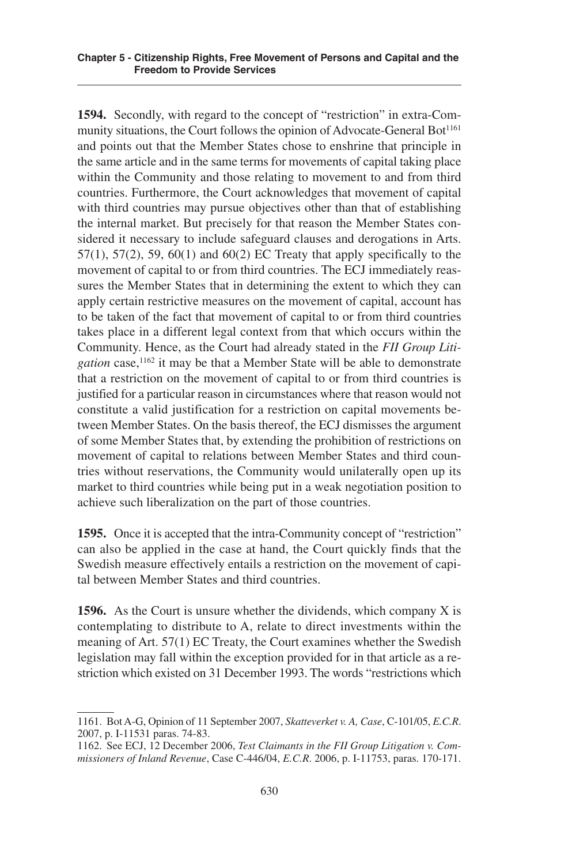**1594.** Secondly, with regard to the concept of "restriction" in extra-Community situations, the Court follows the opinion of Advocate-General Bot<sup>1161</sup> and points out that the Member States chose to enshrine that principle in the same article and in the same terms for movements of capital taking place within the Community and those relating to movement to and from third countries. Furthermore, the Court acknowledges that movement of capital with third countries may pursue objectives other than that of establishing the internal market. But precisely for that reason the Member States considered it necessary to include safeguard clauses and derogations in Arts.  $57(1)$ ,  $57(2)$ ,  $59$ ,  $60(1)$  and  $60(2)$  EC Treaty that apply specifically to the movement of capital to or from third countries. The ECJ immediately reassures the Member States that in determining the extent to which they can apply certain restrictive measures on the movement of capital, account has to be taken of the fact that movement of capital to or from third countries takes place in a different legal context from that which occurs within the Community. Hence, as the Court had already stated in the *FII Group Litigation* case, <sup>1162</sup> it may be that a Member State will be able to demonstrate that a restriction on the movement of capital to or from third countries is justified for a particular reason in circumstances where that reason would not constitute a valid justification for a restriction on capital movements between Member States. On the basis thereof, the ECJ dismisses the argument of some Member States that, by extending the prohibition of restrictions on movement of capital to relations between Member States and third countries without reservations, the Community would unilaterally open up its market to third countries while being put in a weak negotiation position to achieve such liberalization on the part of those countries.

**1595.** Once it is accepted that the intra-Community concept of "restriction" can also be applied in the case at hand, the Court quickly finds that the Swedish measure effectively entails a restriction on the movement of capital between Member States and third countries.

**1596.** As the Court is unsure whether the dividends, which company X is contemplating to distribute to A, relate to direct investments within the meaning of Art.  $57(1)$  EC Treaty, the Court examines whether the Swedish legislation may fall within the exception provided for in that article as a restriction which existed on 31 December 1993. The words "restrictions which

<sup>1161.</sup> Bot A-G, Opinion of 11 September 2007, *Skatteverket v. A, Case*, C-101/0, *E.C.R*. 2007, p. I-1131 paras. 74-83.

<sup>1162.</sup> See ECJ, 12 December 2006, *Test Claimants in the FII Group Litigation v. Commissioners of Inland Revenue*, Case C-446/04, *E.C.R*. 2006, p. I-1173, paras. 170-171.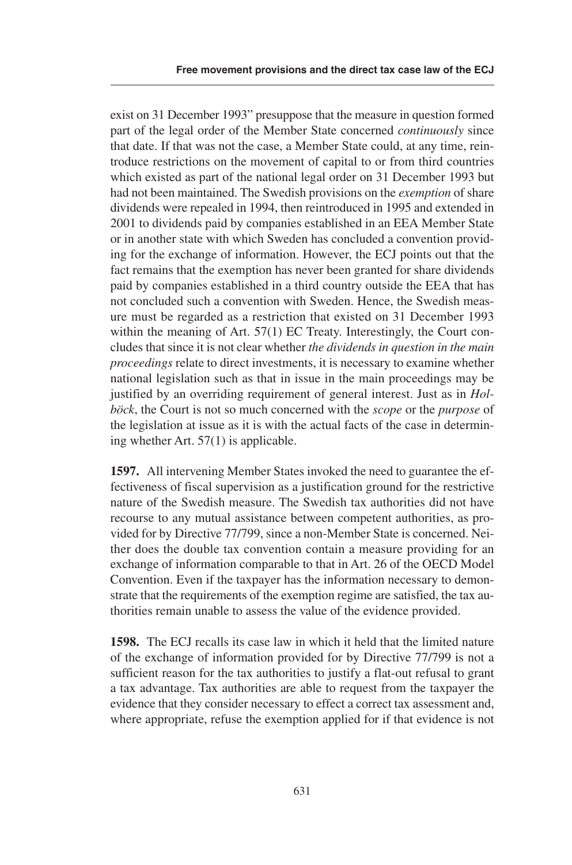exist on 31 December 1993" presuppose that the measure in question formed part of the legal order of the Member State concerned *continuously* since that date. If that was not the case, a Member State could, at any time, reintroduce restrictions on the movement of capital to or from third countries which existed as part of the national legal order on 31 December 1993 but had not been maintained. The Swedish provisions on the *exemption* of share dividends were repealed in 1994, then reintroduced in 1995 and extended in 2001 to dividends paid by companies established in an EEA Member State or in another state with which Sweden has concluded a convention providing for the exchange of information. However, the ECJ points out that the fact remains that the exemption has never been granted for share dividends paid by companies established in a third country outside the EEA that has not concluded such a convention with Sweden. Hence, the Swedish measure must be regarded as a restriction that existed on 31 December 1993 within the meaning of Art.  $57(1)$  EC Treaty. Interestingly, the Court concludes that since it is not clear whether *the dividends in question in the main proceedings* relate to direct investments, it is necessary to examine whether national legislation such as that in issue in the main proceedings may be justified by an overriding requirement of general interest. Just as in *Holböck*, the Court is not so much concerned with the *scope* or the *purpose* of the legislation at issue as it is with the actual facts of the case in determining whether Art.  $57(1)$  is applicable.

**1597.** All intervening Member States invoked the need to guarantee the effectiveness of fiscal supervision as a justification ground for the restrictive nature of the Swedish measure. The Swedish tax authorities did not have recourse to any mutual assistance between competent authorities, as provided for by Directive 77/799, since a non-Member State is concerned. Neither does the double tax convention contain a measure providing for an exchange of information comparable to that in Art. 26 of the OECD Model Convention. Even if the taxpayer has the information necessary to demonstrate that the requirements of the exemption regime are satisfied, the tax authorities remain unable to assess the value of the evidence provided.

**1598.** The ECJ recalls its case law in which it held that the limited nature of the exchange of information provided for by Directive 77/799 is not a sufficient reason for the tax authorities to justify a flat-out refusal to grant a tax advantage. Tax authorities are able to request from the taxpayer the evidence that they consider necessary to effect a correct tax assessment and, where appropriate, refuse the exemption applied for if that evidence is not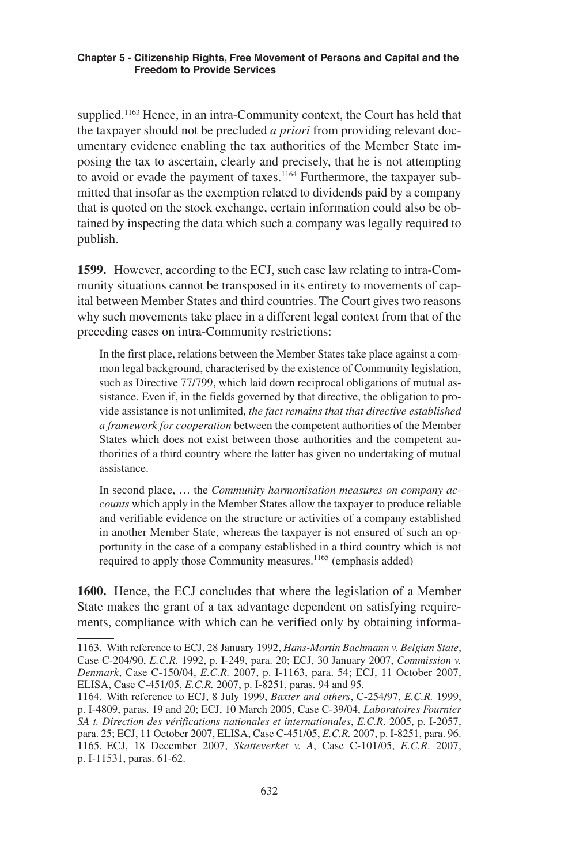supplied.<sup>1163</sup> Hence, in an intra-Community context, the Court has held that the taxpayer should not be precluded *a priori* from providing relevant documentary evidence enabling the tax authorities of the Member State imposing the tax to ascertain, clearly and precisely, that he is not attempting to avoid or evade the payment of taxes.<sup>1164</sup> Furthermore, the taxpayer submitted that insofar as the exemption related to dividends paid by a company that is quoted on the stock exchange, certain information could also be obtained by inspecting the data which such a company was legally required to publish.

**1599.** However, according to the ECJ, such case law relating to intra-Community situations cannot be transposed in its entirety to movements of capital between Member States and third countries. The Court gives two reasons why such movements take place in a different legal context from that of the preceding cases on intra-Community restrictions:

In the first place, relations between the Member States take place against a common legal background, characterised by the existence of Community legislation, such as Directive 77/799, which laid down reciprocal obligations of mutual assistance. Even if, in the fields governed by that directive, the obligation to provide assistance is not unlimited, *the fact remains that that directive established a framework for cooperation* between the competent authorities of the Member States which does not exist between those authorities and the competent authorities of a third country where the latter has given no undertaking of mutual assistance.

In second place, … the *Community harmonisation measures on company accounts* which apply in the Member States allow the taxpayer to produce reliable and verifiable evidence on the structure or activities of a company established in another Member State, whereas the taxpayer is not ensured of such an opportunity in the case of a company established in a third country which is not required to apply those Community measures.<sup>1165</sup> (emphasis added)

**1600.** Hence, the ECJ concludes that where the legislation of a Member State makes the grant of a tax advantage dependent on satisfying requirements, compliance with which can be verified only by obtaining informa-

<sup>1163.</sup> With reference to ECJ, 28 January 1992, *Hans-Martin Bachmann v. Belgian State*, Case C-204/90, *E.C.R.* 1992, p. I-249, para. 20; ECJ, 30 January 2007, *Commission v. Denmark*, Case C-150/04, *E.C.R.* 2007, p. I-1163, para. 54; ECJ, 11 October 2007, ELISA, Case C-451/05, *E.C.R.* 2007, p. I-8251, paras. 94 and 95.

<sup>1164.</sup> With reference to ECJ, 8 July 1999, *Baxter and others*, C-24/97, *E.C.R.* 1999, p. I-4809, paras. 19 and 20; ECJ, 10 March 2005, Case C-39/04, *Laboratoires Fournier SA t. Direction des vérifications nationales et internationales*, *E.C.R*. 200, p. I-207, para. 25; ECJ, 11 October 2007, ELISA, Case C-451/05, *E.C.R.* 2007, p. I-8251, para. 96. 1165. ECJ, 18 December 2007, *Skatteverket v. A*, Case C-101/05, *E.C.R.* 2007, p. I-1131, paras. 61-62.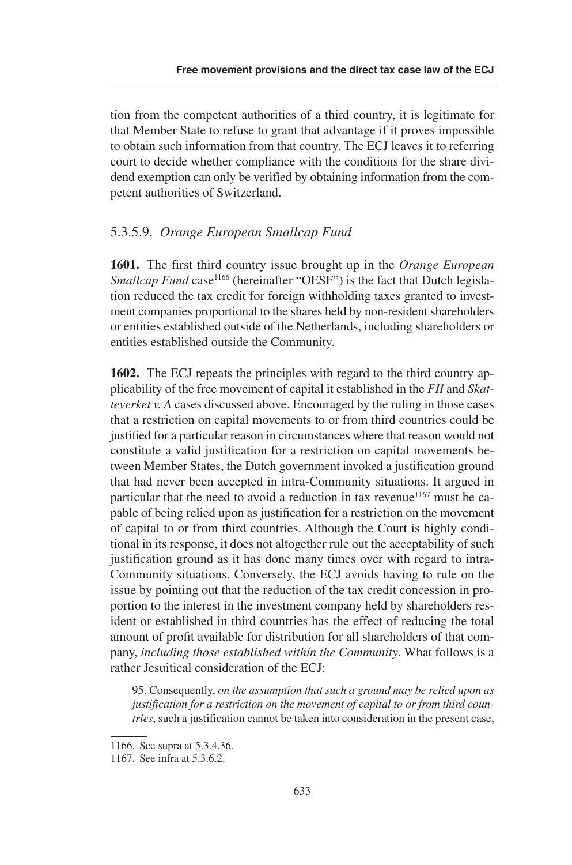tion from the competent authorities of a third country, it is legitimate for that Member State to refuse to grant that advantage if it proves impossible to obtain such information from that country. The ECJ leaves it to referring court to decide whether compliance with the conditions for the share dividend exemption can only be verified by obtaining information from the competent authorities of Switzerland.

### .3..9. *Orange European Smallcap Fund*

**1601.** The first third country issue brought up in the *Orange European Smallcap Fund* case<sup>1166</sup> (hereinafter "OESF") is the fact that Dutch legislation reduced the tax credit for foreign withholding taxes granted to investment companies proportional to the shares held by non-resident shareholders or entities established outside of the Netherlands, including shareholders or entities established outside the Community.

**1602.** The ECJ repeats the principles with regard to the third country applicability of the free movement of capital it established in the *FII* and *Skatteverket v. A* cases discussed above. Encouraged by the ruling in those cases that a restriction on capital movements to or from third countries could be justified for a particular reason in circumstances where that reason would not constitute a valid justification for a restriction on capital movements between Member States, the Dutch government invoked a justification ground that had never been accepted in intra-Community situations. It argued in particular that the need to avoid a reduction in tax revenue<sup>1167</sup> must be capable of being relied upon as justification for a restriction on the movement of capital to or from third countries. Although the Court is highly conditional in its response, it does not altogether rule out the acceptability of such justification ground as it has done many times over with regard to intra-Community situations. Conversely, the ECJ avoids having to rule on the issue by pointing out that the reduction of the tax credit concession in proportion to the interest in the investment company held by shareholders resident or established in third countries has the effect of reducing the total amount of profit available for distribution for all shareholders of that company, *including those established within the Community*. What follows is a rather Jesuitical consideration of the ECJ:

9. Consequently, *on the assumption that such a ground may be relied upon as justification for a restriction on the movement of capital to or from third countries*, such a justification cannot be taken into consideration in the present case,

<sup>1166.</sup> See supra at 5.3.4.36.

<sup>1167.</sup> See infra at 5.3.6.2.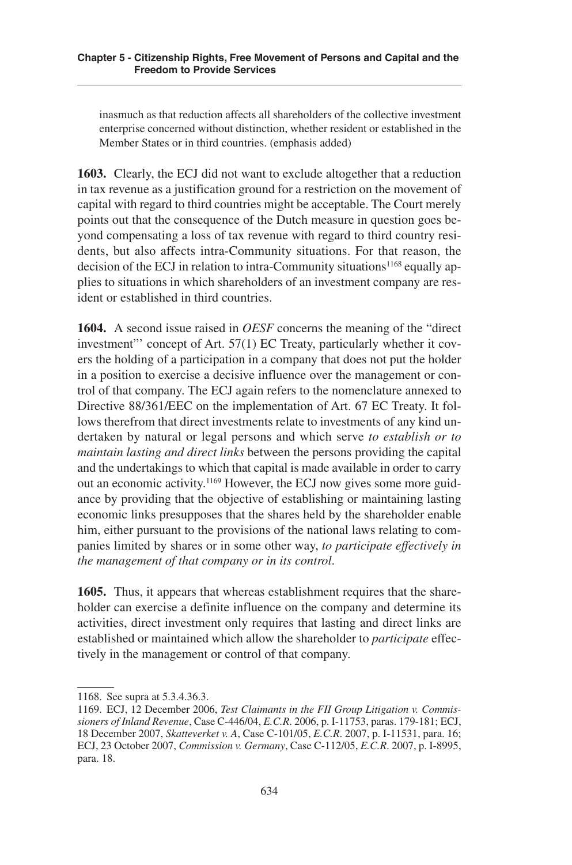inasmuch as that reduction affects all shareholders of the collective investment enterprise concerned without distinction, whether resident or established in the Member States or in third countries. (emphasis added)

**1603.** Clearly, the ECJ did not want to exclude altogether that a reduction in tax revenue as a justification ground for a restriction on the movement of capital with regard to third countries might be acceptable. The Court merely points out that the consequence of the Dutch measure in question goes beyond compensating a loss of tax revenue with regard to third country residents, but also affects intra-Community situations. For that reason, the decision of the ECJ in relation to intra-Community situations<sup>1168</sup> equally applies to situations in which shareholders of an investment company are resident or established in third countries.

**1604.** A second issue raised in *OESF* concerns the meaning of the "direct investment" concept of Art. 57(1) EC Treaty, particularly whether it covers the holding of a participation in a company that does not put the holder in a position to exercise a decisive influence over the management or control of that company. The ECJ again refers to the nomenclature annexed to Directive 88/361/EEC on the implementation of Art. 67 EC Treaty. It follows therefrom that direct investments relate to investments of any kind undertaken by natural or legal persons and which serve *to establish or to maintain lasting and direct links* between the persons providing the capital and the undertakings to which that capital is made available in order to carry out an economic activity.<sup>1169</sup> However, the ECJ now gives some more guidance by providing that the objective of establishing or maintaining lasting economic links presupposes that the shares held by the shareholder enable him, either pursuant to the provisions of the national laws relating to companies limited by shares or in some other way, *to participate effectively in the management of that company or in its control*.

**1605.** Thus, it appears that whereas establishment requires that the shareholder can exercise a definite influence on the company and determine its activities, direct investment only requires that lasting and direct links are established or maintained which allow the shareholder to *participate* effectively in the management or control of that company.

<sup>1168.</sup> See supra at 5.3.4.36.3.

<sup>1169.</sup> ECJ, 12 December 2006, *Test Claimants in the FII Group Litigation v. Commissioners of Inland Revenue*, Case C-446/04, *E.C.R*. 2006, p. I-1173, paras. 179-181; ECJ, 18 December 2007, *Skatteverket v. A*, Case C-101/05, *E.C.R.* 2007, p. I-11531, para. 16; ECJ, 23 October 2007, *Commission v. Germany*, Case C-112/05, E.C.R. 2007, p. I-8995, para. 18.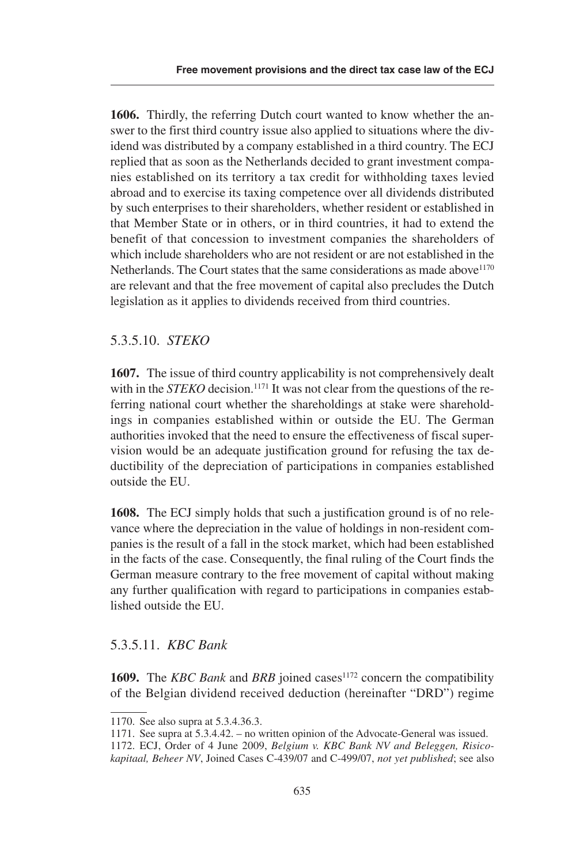**1606.** Thirdly, the referring Dutch court wanted to know whether the answer to the first third country issue also applied to situations where the dividend was distributed by a company established in a third country. The ECJ replied that as soon as the Netherlands decided to grant investment companies established on its territory a tax credit for withholding taxes levied abroad and to exercise its taxing competence over all dividends distributed by such enterprises to their shareholders, whether resident or established in that Member State or in others, or in third countries, it had to extend the benefit of that concession to investment companies the shareholders of which include shareholders who are not resident or are not established in the Netherlands. The Court states that the same considerations as made above<sup>1170</sup> are relevant and that the free movement of capital also precludes the Dutch legislation as it applies to dividends received from third countries.

### .3..10. *STEKO*

**1607.** The issue of third country applicability is not comprehensively dealt with in the *STEKO* decision.<sup>1171</sup> It was not clear from the questions of the referring national court whether the shareholdings at stake were shareholdings in companies established within or outside the EU. The German authorities invoked that the need to ensure the effectiveness of fiscal supervision would be an adequate justification ground for refusing the tax deductibility of the depreciation of participations in companies established outside the EU.

**1608.** The ECJ simply holds that such a justification ground is of no relevance where the depreciation in the value of holdings in non-resident companies is the result of a fall in the stock market, which had been established in the facts of the case. Consequently, the final ruling of the Court finds the German measure contrary to the free movement of capital without making any further qualification with regard to participations in companies established outside the EU.

# .3..11. *KBC Bank*

**1609.** The *KBC Bank* and *BRB* joined cases<sup>1172</sup> concern the compatibility of the Belgian dividend received deduction (hereinafter "DRD") regime

<sup>1170.</sup> See also supra at 5.3.4.36.3.

<sup>1171.</sup> See supra at  $5.3.4.42$ . – no written opinion of the Advocate-General was issued.

<sup>1172.</sup> ECJ, Order of 4 June 2009, *Belgium v. KBC Bank NV and Beleggen, Risicokapitaal, Beheer NV*, Joined Cases C-439/07 and C-499/07, *not yet published*; see also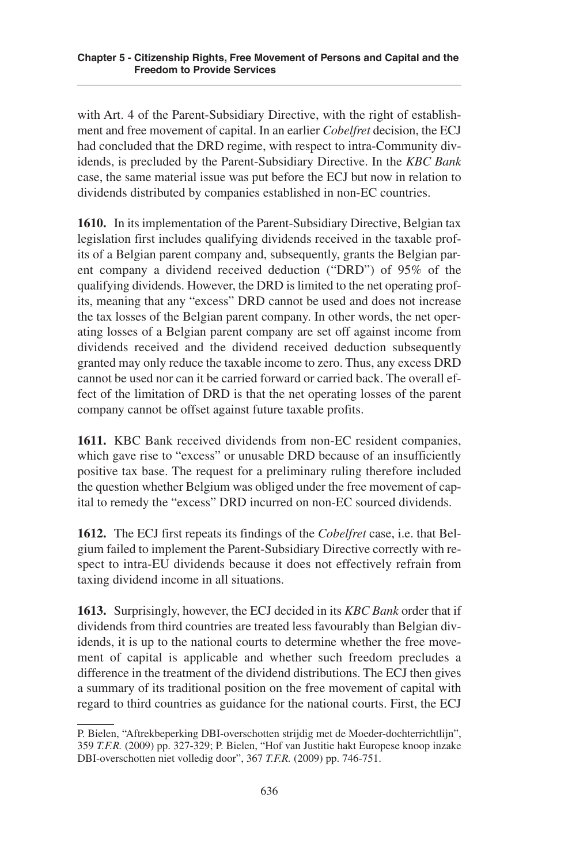with Art. 4 of the Parent-Subsidiary Directive, with the right of establishment and free movement of capital. In an earlier *Cobelfret* decision, the ECJ had concluded that the DRD regime, with respect to intra-Community dividends, is precluded by the Parent-Subsidiary Directive. In the *KBC Bank* case, the same material issue was put before the ECJ but now in relation to dividends distributed by companies established in non-EC countries.

**1610.** In its implementation of the Parent-Subsidiary Directive, Belgian tax legislation first includes qualifying dividends received in the taxable profits of a Belgian parent company and, subsequently, grants the Belgian parent company a dividend received deduction ("DRD") of 95% of the qualifying dividends. However, the DRD is limited to the net operating profits, meaning that any "excess" DRD cannot be used and does not increase the tax losses of the Belgian parent company. In other words, the net operating losses of a Belgian parent company are set off against income from dividends received and the dividend received deduction subsequently granted may only reduce the taxable income to zero. Thus, any excess DRD cannot be used nor can it be carried forward or carried back. The overall effect of the limitation of DRD is that the net operating losses of the parent company cannot be offset against future taxable profits.

**1611.** KBC Bank received dividends from non-EC resident companies, which gave rise to "excess" or unusable DRD because of an insufficiently positive tax base. The request for a preliminary ruling therefore included the question whether Belgium was obliged under the free movement of capital to remedy the "excess" DRD incurred on non-EC sourced dividends.

**1612.** The ECJ first repeats its findings of the *Cobelfret* case, i.e. that Belgium failed to implement the Parent-Subsidiary Directive correctly with respect to intra-EU dividends because it does not effectively refrain from taxing dividend income in all situations.

**1613.** Surprisingly, however, the ECJ decided in its *KBC Bank* order that if dividends from third countries are treated less favourably than Belgian dividends, it is up to the national courts to determine whether the free movement of capital is applicable and whether such freedom precludes a difference in the treatment of the dividend distributions. The ECJ then gives a summary of its traditional position on the free movement of capital with regard to third countries as guidance for the national courts. First, the ECJ

P. Bielen, "Aftrekbeperking DBI-overschotten strijdig met de Moeder-dochterrichtlijn", 39 *T.F.R.* (2009) pp. 327-329; P. Bielen, "Hof van Justitie hakt Europese knoop inzake DBI-overschotten niet volledig door", 367 *T.F.R.* (2009) pp. 746-71.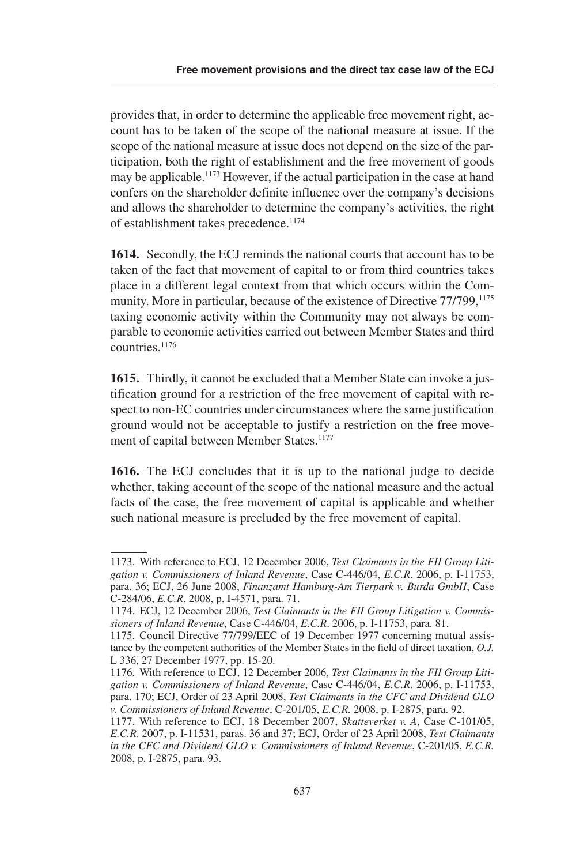provides that, in order to determine the applicable free movement right, account has to be taken of the scope of the national measure at issue. If the scope of the national measure at issue does not depend on the size of the participation, both the right of establishment and the free movement of goods may be applicable.<sup>1173</sup> However, if the actual participation in the case at hand confers on the shareholder definite influence over the company's decisions and allows the shareholder to determine the company's activities, the right of establishment takes precedence. 1174

**1614.** Secondly, the ECJ reminds the national courts that account has to be taken of the fact that movement of capital to or from third countries takes place in a different legal context from that which occurs within the Community. More in particular, because of the existence of Directive 77/799,<sup>1175</sup> taxing economic activity within the Community may not always be comparable to economic activities carried out between Member States and third countries. 1176

**1615.** Thirdly, it cannot be excluded that a Member State can invoke a justification ground for a restriction of the free movement of capital with respect to non-EC countries under circumstances where the same justification ground would not be acceptable to justify a restriction on the free movement of capital between Member States.<sup>1177</sup>

**1616.** The ECJ concludes that it is up to the national judge to decide whether, taking account of the scope of the national measure and the actual facts of the case, the free movement of capital is applicable and whether such national measure is precluded by the free movement of capital.

<sup>1173.</sup> With reference to ECJ, 12 December 2006, *Test Claimants in the FII Group Litigation v. Commissioners of Inland Revenue*, Case C-446/04, *E.C.R*. 2006, p. I-1173, para. 36; ECJ, 26 June 2008, *Finanzamt Hamburg-Am Tierpark v. Burda GmbH*, Case C-284/06, *E.C.R*. 2008, p. I-471, para. 71.

<sup>1174.</sup> ECJ, 12 December 2006, *Test Claimants in the FII Group Litigation v. Commissioners of Inland Revenue*, Case C-446/04, *E.C.R*. 2006, p. I-1173, para. 81.

<sup>1175.</sup> Council Directive 77/799/EEC of 19 December 1977 concerning mutual assistance by the competent authorities of the Member States in the field of direct taxation, *O.J.* L 336, 27 December 1977, pp. 15-20.

<sup>1176.</sup> With reference to ECJ, 12 December 2006, *Test Claimants in the FII Group Litigation v. Commissioners of Inland Revenue*, Case C-446/04, *E.C.R*. 2006, p. I-1173, para. 170; ECJ, Order of 23 April 2008, *Test Claimants in the CFC and Dividend GLO v. Commissioners of Inland Revenue, C-201/05, E.C.R. 2008, p. I-2875, para. 92.* 

<sup>1177.</sup> With reference to ECJ, 18 December 2007, *Skatteverket v. A*, Case C-101/0, *E.C.R*. 2007, p. I-1131, paras. 36 and 37; ECJ, Order of 23 April 2008, *Test Claimants in the CFC and Dividend GLO v. Commissioners of Inland Revenue*, C-201/0, *E.C.R.* 2008, p. I-2875, para. 93.